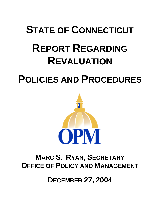## **STATE OF CONNECTICUT**

# **REPORT REGARDING REVALUATION**

## **POLICIES AND PROCEDURES**



## **MARC S. RYAN, SECRETARY OFFICE OF POLICY AND MANAGEMENT**

**DECEMBER 27, 2004**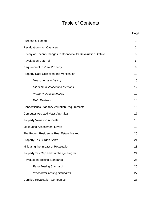## Table of Contents

|                                                                | Page           |
|----------------------------------------------------------------|----------------|
| Purpose of Report                                              | 1              |
| Revaluation - An Overview                                      | $\overline{2}$ |
| History of Recent Changes to Connecticut's Revaluation Statute | 3              |
| <b>Revaluation Deferral</b>                                    | 6              |
| <b>Requirement to View Property</b>                            | 8              |
| Property Data Collection and Verification                      | 10             |
| <b>Measuring and Listing</b>                                   | 10             |
| <b>Other Data Verification Methods</b>                         | 12             |
| <b>Property Questionnaires</b>                                 | 12             |
| <b>Field Reviews</b>                                           | 14             |
| <b>Connecticut's Statutory Valuation Requirements</b>          | 16             |
| <b>Computer-Assisted Mass Appraisal</b>                        | 17             |
| <b>Property Valuation Appeals</b>                              | 18             |
| <b>Measuring Assessment Levels</b>                             | 19             |
| The Recent Residential Real Estate Market                      | 20             |
| <b>Property Tax Burden Shifts</b>                              | 21             |
| Mitigating the Impact of Revaluation                           | 23             |
| Property Tax Cap and Surcharge Program                         | 24             |
| <b>Revaluation Testing Standards</b>                           | 25             |
| <b>Ratio Testing Standards</b>                                 | 26             |
| <b>Procedural Testing Standards</b>                            | 27             |
| <b>Certified Revaluation Companies</b>                         | 28             |

i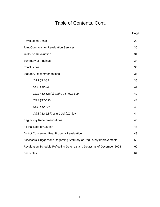## Table of Contents, Cont.

|                                                                          | Page |
|--------------------------------------------------------------------------|------|
| <b>Revaluation Costs</b>                                                 | 29   |
| <b>Joint Contracts for Revaluation Services</b>                          | 30   |
| In-House Revaluation                                                     | 31   |
| <b>Summary of Findings</b>                                               | 34   |
| Conclusions                                                              | 35   |
| <b>Statutory Recommendations</b>                                         | 36   |
| CGS §12-62                                                               | 36   |
| CGS §12-2b                                                               | 41   |
| CGS §12-62a(e) and CGS §12-62c                                           | 42   |
| CGS §12-63b                                                              | 43   |
| CGS §12-62i                                                              | 43   |
| CGS §12-62(k) and CGS §12-62k                                            | 44   |
| <b>Regulatory Recommendations</b>                                        | 45   |
| A Final Note of Caution                                                  | 46   |
| An Act Concerning Real Property Revaluation                              | 49   |
| Assessors' Suggestions Regarding Statutory or Regulatory Improvements    | 58   |
| Revaluation Schedule Reflecting Deferrals and Delays as of December 2004 | 60   |
| <b>End Notes</b>                                                         | 64   |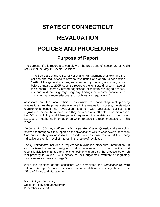## **STATE OF CONNECTICUT REVALUATION POLICES AND PROCEDURES**

**Purpose of Report**

The purpose of this report is to comply with the provisions of Section 27 of Public Act 04-2 of the May 11 Special Session:

"The Secretary of the Office of Policy and Management shall examine the policies and regulations relative to revaluation of property under section 12-62 of the general statutes, as amended by this act, and shall, on or before January 1, 2005, submit a report to the joint standing committee of the General Assembly having cognizance of matters relating to finance, revenue and bonding regarding any findings or recommendations to clarify, or make more effective, such policies and regulations."

Assessors are the local officials responsible for conducting real property revaluations. As the primary stakeholders in the revaluation process, the statutory requirements concerning revaluation, together with applicable policies and regulations, impact them more than they do other local officials. For this reason, the Office of Policy and Management requested the assistance of the state's assessors in gathering information on which to base the recommendations in this report.

On June 17, 2004, my staff sent a *Municipal Revaluation Questionnaire* (which is referred to throughout this report as the *"Questionnaire"*) to each town's assessor. One hundred thirty-six assessors responded  $-$  a response rate of 80%  $-$  clearly indicative of the high level of interest in the issue of revaluation.

The *Questionnaire* included a request for revaluation procedural information. It also contained a section designed to allow assessors to comment on the most recent legislative changes and to offer opinions regarding the process by which real property is valued. A summary of their suggested statutory or regulatory improvements appears on page 58.

While the opinions of the assessors who completed the *Questionnaire* were helpful, this report's conclusions and recommendations are solely those of the Office of Policy and Management.

Marc S. Ryan, Secretary Office of Policy and Management December 27, 2004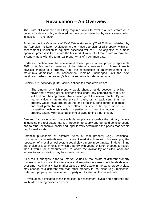#### **Revaluation – An Overview**

The State of Connecticut has long required towns to revalue all real estate on a periodic basis – a policy embraced not only by our state, but by nearly every taxing jurisdiction in the nation.

According to the *Dictionary of Real Estate Appr*aisal *(Third Edition)* published by the Appraisal Institute, revaluation is the "mass appraisal of all property within an assessment jurisdiction to equalize assessed values." The objective of a mass appraisal process is to estimate the fair market value of all real estate (a term that is synonymous with the term real property) as of a common date.

Under Connecticut law, the assessment of each parcel of real property represents 70% of its fair market value as of the date of a revaluation. Unless there is physical change to a property (e.g., the construction of an improvement or a structure's demolition), its assessment remains unchanged until the next revaluation, when the property's fair market value is determined again.

*Black's Law Dictionary (Fifth Edition)* defines fair market value as:

"The amount at which property would change hands between a willing buyer and a willing seller, neither being under any compulsion to buy or sell and both having reasonable knowledge of the relevant facts. By fair market value is meant the price in cash, or its equivalent, that the property would have brought at the time of taking, considering its highest and most profitable use, if then offered for sale in the open market, in competition with other similar properties at or near the location of the property taken, with reasonable time allowed to find a purchaser."

Demand for property and the available supply are arguably the primary factors influencing the real estate market. Reaction to supply and demand considerations and to other economic, social and legal factors determines the prices that people pay for real estate.

Potential purchasers of different types of real property (e.g., residential, commercial or industrial) react to different market influences. For example, the reputation of a local school system could play a more important part in determining the choice of a community in which a family with young children chooses to reside than it would for a manufacturer, to whom the availability of skilled labor and access to transportation may be more important.

As a result, changes in the fair market values of real estate of different property classes do not occur at the same rate and inequities in assessment levels develop over time. Additionally, fair market values of real estate in the same property class may change at a different rate than other property in that class (e.g., residential waterfront property and residential property not located on the waterfront).

A revaluation eliminates these inequities in assessment levels and equalizes the tax burden among property owners.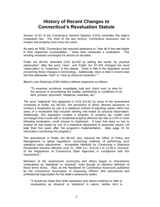#### **History of Recent Changes to Connecticut's Revaluation Statute**

Section 12-62 of the Connecticut General Statutes (CGS) embodies the state's revaluation law. For most of the last century, Connecticut assessors had to revalue real property once every ten years.

As early as 1930, Connecticut law required assessors to "view all of the real estate in their respective municipalities…" when they conducted a revaluation. This wording remained unchanged for almost six decades.

Public Act 89-251 amended CGS §12-62 by adding the words "by physical observation" after the word "view", and Public Act 97-254 changed the word "observation" to "inspection" in this statute. There is little in the legislative record concerning these changes in terminology. Additionally, there is little in recent case law that addresses "view" or "view by physical inspection."<sup>1</sup>

*Black's Law Dictionary (Fifth Edition)* defines inspection as follows:

"To examine; scrutinize; investigate; look into; check over; or view for the purpose of ascertaining the quality, authenticity or conditions of an item, product, document, residence, business, etc."

The word "statistical" first appeared in CGS §12-62 by virtue of the amendment contained in Public Act 89-251, the provisions of which allowed assessors to conduct a revaluation by use of a statistical method of adjusting values within five years of a revaluation that included viewing real estate by physical observation. Additionally, this legislation created a program of property tax credits and surcharges that a town with a residential property effective tax rate of 1.5% or more following revaluation, could choose to implement. A town that does so has to revalue all real estate by use of a statistical adjustment of assessed values, not later than five years after the program's implementation. (See page 24 for information concerning this program.)

The amendment in Public Act 89-251 also required the Office of Policy and Management to adopt regulations concerning methods of performing such statistical value adjustments. *Acceptable Methods for Conducting a Statistical Revaluation* became effective June 21, 1990 (i.e., §12-62-1 to 12-62-4, inclusive, of the Regulations of Connecticut State Agencies) in compliance with this requirement.<sup>2</sup>

Members of the assessment community and others began to characterize revaluations as "statistical" or "physical", even though no statutory definition of these terms exists. Also, as the *Handbook for Connecticut Assessors* published by the Connecticut Association of Assessing Officers (the educational and professional organization for the state's assessors) states:

"It should be noted that while assessors and others continue to refer to revaluations as 'physical' or 'statistical' in nature, neither term is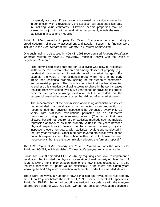completely accurate. If real property is viewed by physical observation in conjunction with a revaluation, the assessor still uses statistical data in finalizing value estimates. Likewise, certain properties may be viewed in conjunction with a revaluation that primarily entails the use of statistical analyses and modeling."

Public Act 94-4 created a Property Tax Reform Commission in order to study a broad spectrum of property assessment and taxation issues. Its findings were included in the *1995 Report of the Property Tax Reform Commission.*

One such finding is discussed in a July 3, 1998 report entitled *Property Revaluation Mandate*, written by Kevin E. McCarthy, Principal Analyst with the Office of Legislative Research:

"The commission found that the ten-year cycle was slow to recognize shifts in the tax burden between and among classes of property (e.g., residential, commercial and industrial) based on market changes. For example, the value of nonresidential property fell more in the early 1990s than residential property, shifting the tax burden to commercial and industrial property. The commission noted that the law attempted to address this situation by allowing towns to phase-in the tax increases resulting from revaluation over a five-year period or providing tax credits over the five years following revaluation, but it concluded that the system still resulted in property taxes that did not reflect market values.

The subcommittee of the commission addressing administrative issues recommended that revaluations be conducted more frequently. It recommended that physical inspections be conducted every 9 to 12 years, with statistical revaluations permitted as an alternative methodology during the intervening years. (The law at that time allowed, but did not require, use of statistical methods such as multiple regression analysis to estimate property values in the years between physical inspections.) Several members favored requiring physical inspections every ten years, with statistical revaluations conducted in the fifth year following. Other members favored statistical revaluations on a three-year cycle. The subcommittee did not choose between these options, but the entire commission adopted the former proposal."

The *1995 Report of the Property Tax Reform Commission* was the impetus for Public Act 95-283, which abolished Connecticut's ten-year revaluation cycle.

Public Act 95-283 amended CGS §12-62 by requiring each town to implement a revaluation that included the physical observation of real property not later than 12 years following the implementation date of the town's last revaluation. It also required assessors to update values statistically in the fourth and eighth years following the first "physical" revaluation implemented under the amended statute.

There were, however, a number of towns that had last revalued all real property more than 12 years before the October 1, 1996 commencement date specified in Public Act 95-283. Some had put off revaluation in accordance with the two-year deferral provisions of CGS §12-62h. Others had delayed revaluation because of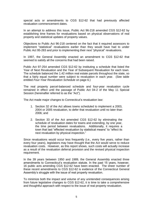special acts or amendments to CGS §12-62 that had previously affected revaluation commencement dates.

In an attempt to address this issue, Public Act 96-218 amended CGS §12-62 by establishing time frames for revaluations based on physical observations of real property and statistical updates of property values.

Objections to Public Act 96-218 centered on the fact that it required assessors to implement "statistical" revaluations earlier than they would have had to under Public Act 95-283 and prior to implementing their next "physical" revaluations.

In 1997, the General Assembly enacted an amendment to CGS §12-62 that seemed to satisfy all the concerns that had been raised.

Public Act 97-254 amended CGS §12-62 by instituting a schedule that listed the Year of Next Revaluation and the Year of Subsequent Revaluation for each town. The schedule balanced the 1.42 million real estate parcels throughout the state, so that a fairly equal number were subject to revaluation in each year. (See table entitled *Four-Year Revaluation Schedule* on page 6.)

The real property parcel-balanced schedule and four-year revaluation cycle remained in effect until the passage of Public Act 04-2 of the May 11 Special Session (hereinafter referred to as the "Act").

The Act made major changes to Connecticut's revaluation law:

- 1. Section 32 of the Act allows towns scheduled to implement a 2003, 2004 or 2005 revaluation, to defer that revaluation until no later than 2006; and
- 2. Section 33 of the Act amended CGS §12-62 by eliminating the schedule of revaluation dates for towns and extending, by one year, the time period between revaluations. Additionally, it requires a town that last "effected revaluation by statistical means" to "effect its next revaluation by physical inspection."

Since revaluations would occur less frequently (i.e., every five years, rather than every four years), legislators may have thought that the Act would serve to reduce revaluation costs. However, as this report shows, such costs will actually increase as a result of the revaluation deferral provision and the revised physical inspection requirement.

In the 39 years between 1950 and 1989, the General Assembly enacted three amendments to Connecticut's revaluation statute. In the past 15 years, however, 16 public acts amending CGS §12-62 have been enacted. The sheer number of these recent amendments to CGS §12-62 is evidence of the Connecticut General Assembly's struggle with the issue of real property revaluation.

To minimize both the impact and volume of any unintended consequences arising from future legislative changes to CGS §12-62, it is time to take a comprehensive and thoughtful approach with respect to the issue of real property revaluation.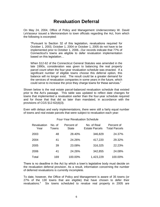#### **Revaluation Deferral**

On May 24, 2004, Office of Policy and Management Undersecretary W. David LeVasseur issued a Memorandum to town officials regarding the Act, from which the following is excerpted:

"Pursuant to Section 32 of this legislation, revaluations required for October 1, 2003, October 1, 2004 or October 1, 2005 do not have to be implemented prior to October 1, 2006...Our records indicate that 77% of Connecticut's towns are eligible to defer revaluation implementation based on this legislation…

When §12-62 of the Connecticut General Statutes was amended in the late 1990s, consideration was given to balancing the real property parcel count when the four-year revaluation schedule was enacted. If a significant number of eligible towns choose this deferral option, this balance will no longer exist. The result could be a greater demand for the services of revaluation companies in some years in the future, which could serve to increase the price they charge towns for these services."

Shown below is the real estate parcel-balanced revaluation schedule that existed prior to the Act's passage. This table was updated to reflect date changes for towns that implemented a revaluation earlier than the four-year schedule required and for those that that did so later than mandated, in accordance with the provisions of CGS §12-62(d)(3).

Even with delays and early implementations, there were still a fairly equal number of towns and real estate parcels that were subject to revaluation each year:

| Revaluation<br>Year | No. of<br>Towns | Percent of<br><b>State</b> | No. of Real<br><b>Estate Parcels</b> | Percent of<br><b>Total Parcels</b> |
|---------------------|-----------------|----------------------------|--------------------------------------|------------------------------------|
| 2003                | 48              | 28.40%                     | 346,829                              | 24.37%                             |
| 2004                | 41              | 24.26%                     | 417,220                              | 29.32%                             |
| 2005                | 39              | 23.08%                     | 316,325                              | 22.23%                             |
| 2006                | 41              | 24.26%                     | 342,855                              | 24.08%                             |
| Total               | 169             | 100.00%                    | 1,423,229                            | 100.00%                            |

#### Four-Year Revaluation Schedule

There is no deadline in the Act by which a town's legislative body must decide on the revaluation deferral provision. As a result, information concerning the number of deferred revaluations is currently incomplete.

To date, however, the Office of Policy and Management is aware of 35 towns (or 27% of the 130 towns that are eligible) that have chosen to defer their revaluations.<sup>3</sup> Six towns scheduled to revalue real property in 2005 are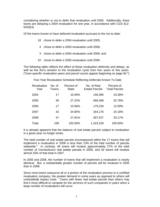considering whether or not to defer that revaluation until 2006. Additionally, three towns are delaying a 2004 revaluation for one year, in accordance with CGS §12- 62(d)(3).

Of the towns known to have deferred revaluation pursuant to the Act to date:

- 18 chose to defer a 2004 revaluation until 2005;
- 4 chose to defer a 2003 revaluation until 2006;
- 3 chose to defer a 2004 revaluation until 2006; and
- 10 chose to defer a 2005 revaluation until 2006.

The following table reflects the effect of these revaluation deferrals and delays, as well as the Act's revision to the revaluation cycle from four years to five years. (Town-specific revaluation years and parcel counts appear beginning on page 60. 4 )

Five-Year Revaluation Schedule Reflecting Deferrals Known To Date

| Revaluation<br>Year | No. of<br>Towns | Percent of<br><b>State</b> | No. of Real<br><b>Estate Parcels</b> | Percent of<br><b>Total Parcels</b> |
|---------------------|-----------------|----------------------------|--------------------------------------|------------------------------------|
| 2004                | 17              | 10.06%                     | 146,365                              | 10.28%                             |
| 2005                | 46              | 27.22%                     | 466,468                              | 32.78%                             |
| 2006                | 17              | 10.06%                     | 179,193                              | 12.59%                             |
| 2007                | 42              | 24.85%                     | 344,176                              | 24.18%                             |
| 2008                | 47              | 27.81%                     | 287,027                              | 20.17%                             |
| Total               | 169             | 100.00%                    | 1,423,229                            | 100.00%                            |

It is already apparent that the balance of real estate parcels subject to revaluation in a given year no longer exists.

The total number of real estate parcels encompassed within the 17 towns that will implement a revaluation in 2006 is less than 13% of the total number of parcels statewide.<sup>5</sup> In contrast, 46 towns will revalue approximately 27% of the total number of Connecticut's real estate parcels in 2005, and 42 towns will revalue almost 25% of that total in 2007.

In 2005 and 2008, the number of towns that will implement a revaluation is nearly identical. But, a substantially greater number of parcels will be revalued in 2005 than in 2008.

Since most towns outsource all or a portion of the revaluation process to a certified revaluation company, the greater demand in some years as opposed to others will undoubtedly impact costs. Towns with fewer real estate parcels than others may find it more difficult to compete for the services of such companies in years when a large number of revaluations will occur.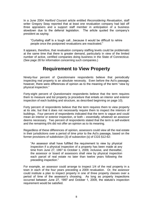In a June 2004 *Hartford Courant* article entitled *Reconsidering Revaluation*, staff writer Gregory Seay reported that at least one revaluation company had laid off three appraisers and a support staff member in anticipation of a business slowdown due to the deferral legislation. The article quoted the company's president as saying:

"Curtailing staff is a tough call…because it would be difficult to rehire people once the postponed revaluations are reactivated."

It appears, therefore, that revaluation company staffing levels could be problematic at the same time that there is greater demand, particularly in view of the limited number of active, certified companies doing business in the State of Connecticut. (See page 28 for information concerning such companies.)

#### **Requirement to View Property**

Ninety-four percent of *Questionnaire* respondents believe that periodically inspecting real property is an absolute necessity. Even before the Act's passage, however, there were differences of opinion as to the meaning of the term "view by physical inspection."

Forty-eight percent of *Questionnaire* respondents believe that the term requires them to measure and list property (a procedure that entails an interior and exterior inspection of each building and structure, as described beginning on page 10).

Forty percent of respondents believe that the term requires them to view property at its site, but that it does not necessarily require them to inspect the interiors of buildings. Four percent of respondents indicated that the term is vague and could mean an interior or exterior inspection, or both – essentially, whatever an assessor deems necessary. Two percent of respondents stated that the term is self-evident and the remaining 6% did not offer an opinion as to its meaning.

Regardless of these differences of opinion, assessors could view all the real estate in their jurisdictions over a period of time prior to the Act's passage, based on the former provisions of subdivision (3) of subsection (s) of CGS §12-62:

"An assessor shall have fulfilled the requirement to view by physical inspection if a physical inspection of a property has been made at any time from June 27, 1997 to October 1, 2009, inclusive, and thereafter, the assessor or board of assessors shall view by physical inspection each parcel of real estate no later than twelve years following the preceding inspection."

For example, an assessor could arrange to inspect 1/4 of the real property in a town in each of the four years preceding a 2009 revaluation. Or, the assessor could institute a plan to inspect property in one of three property classes over a period of time of the assessor's choosing. As long as property inspections occurred between June 27, 1997 and October 1, 2009, the statute's inspection requirement would be satisfied.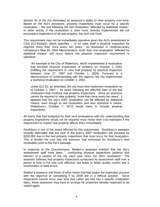Section 33 of the Act eliminated an assessor's ability to view property over time. Based on the Act's provisions, property inspections must occur for a specific revaluation – the one following the last revaluation "effected by statistical means." In other words, if the revaluation a town most recently implemented did not encompass inspections of all real property, the next one must.

This requirement may not be immediately operative given the Act's amendment to CGS §12-62(a)(3), which specifies "…in no case shall a physical inspection be required more than once every ten years." As illustrated in Undersecretary LeVasseur's May 24, 2004 Memorandum, more than one revaluation "effected by statistical means" will occur before the physical inspection requirement is operative:

"An example is the City of Waterbury, which implemented a revaluation that involved physical inspections of property on October 1, 2001 (fulfilling the requirement to view real property by physical inspection between June 27, 1997 and October 1, 2009). Pursuant to a Memorandum of Understanding with this agency, the city implemented a statistical revaluation on October 1, 2002.

Under §12-62, as amended, the city must next implement revaluation as of October 1, 2007 – six years following the effective date of the last revaluation that involved real property inspections. Since an assessor cannot be required to view property "more than once every ten years", it appears that the city's 2007 revaluation can be effected by statistical means, even though its last revaluation was also statistical in nature. Waterbury's October 1, 2012 would have to include physical inspections."

All towns that had budgeted for their next revaluations with the understanding that property inspections would not be required must revise their cost estimates if the requirement to inspect real property affects them immediately.

Southbury is one of the towns affected by this requirement. Southbury's assessor recently estimated that the cost of the town's 2007 revaluation will increase by \$200,000 due to the real property inspections that must occur for that revaluation. This is double the cost that the assessor had estimated for Southbury's next revaluation prior to the Act's passage.

In response to the *Questionnaire*, Shelton's assessor indicted that the city's assessment staff have been "…conducting physical inspections (exterior and interior) of a section of the city each year since the 2001 revaluation." The assessor believes that property inspections conducted by assessment staff over a period of time is not only cost effective, but leads to better quality control and a minimization of data errors.

Shelton's assessor and those of other towns that had begun the inspection process with the objective of completing it by 2009 are in a difficult position. Since inspections cannot occur over time (but rather are tied into a specific revaluation date), these assessors may have to arrange for properties already inspected to be visited again.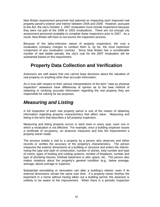New Britain assessment personnel had planned on inspecting each improved real property parcel's exterior and interior between 2005 and 2009. However, pursuant to the Act, the city's October 1, 2007 revaluation must include inspections because they were not part of the 1998 or 2002 revaluations. There are not enough city assessment personnel available to complete these inspections prior to 2007. As a result, New Britain will have to out-source the inspection process.

Because of the labor-intensive nature of property inspections, the cost a revaluation company charges to conduct them is, by far, the most expensive component of any revaluation contract. Since New Britain has a considerable number of real estate parcels, the city's cost for the 2007 revaluation will be substantial based on this requirement.

#### **Property Data Collection and Verification**

Assessors are well aware that one cannot base decisions about the valuation of real property on anything other than accurate information.

As is true with respect to their various interpretations of the term "view by physical inspection" assessors have differences of opinion as to the best method of obtaining or verifying accurate information regarding the real property they are responsible for valuing for tax purposes.

### *Measuring and Listing*

A full inspection of each real property parcel is one of the means of obtaining information regarding property characteristics that affect value. Measuring and listing is the term that describes a full property inspection.

Measuring and listing property occurs in each town in every year, even one in which a revaluation is not effective. For example, once a building inspector issues a certificate of occupancy, an assessor measures and lists the improvement a property owner made.

The process entails a visit to a property by a person who observes and either records or verifies the accuracy of the property's characteristics. The person measures the exterior dimensions of a building or structure and enters the interior, noting the type and style of construction, number of stories, total number and type of rooms, types of heating and cooling systems, number of fireplaces, number and type of plumbing fixtures, finished basement or attic space, etc. The person also makes notations about the property's general condition (e.g., below average, average, above average or superior).

Substantial remodeling or renovation can alter a building's interior, even if its external dimensions remain the same over time. If a property owner finishes the basement in a home without having taken out a building permit, the assessor is unlikely to be aware of the improvement. When there is a periodic inspection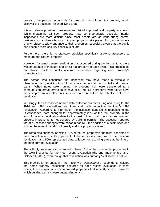program, the person responsible for measuring and listing the property would discover the additional finished living area.

It is not always possible to measure and list all improved real property in a town. While measuring all such property may be theoretically possible, interior inspections are more difficult since most people are at work during normal business hours when attempts to inspect property take place. Also, some owners simply refuse to allow entrance to their properties, especially given that the public has become more security conscious of late.

Furthermore, there is no statutory provision specifically allowing assessors to measure and list real property.

However, for almost every revaluation that occurred during the last century, there was an attempt to measure and list all real property in each town. This process did not always result in totally accurate information regarding each property's characteristics.

The person who conducted the inspection may have made a mistake in observation (e.g., noticing two full baths in a home that has two full and one-half baths). When notes taken during the property visit were transferred to a computerized format, errors could have occurred. Or, a property owner could have made improvements after an inspection date but before the effective date of a revaluation.

In Killingly, the assessor compared data collection via measuring and listing for the 1974 and 1984 revaluations, and then again with respect to the town's 1994 revaluation. According to information the assessor supplied in response to the *Questionnaire*, data changed for approximately 20% of the real property in the town from one revaluation date to the next. About half the changes involved property improvements not covered by building permits. (The assessor reported that 90% of those changes were minor in nature – the addition of a deck, shed or a finished basement that did not greatly add to a property's value.)

The remaining changes, affecting 10% of the real property in the town, consisted of data collection errors. Fifty percent of the errors occurred as of the previous revaluation, and 50% represented data collection or recording errors at the time of the then current revaluation.

The Killingly assessor also arranged to have 10% of the commercial properties in the town inspected for the most recent revaluation (the one implemented as of October 1, 2002), even though that revaluation was primarily "statistical" in nature.

This practice is not unusual – the majority of *Questionnaire* respondents indicted that some property inspections occurred for each recent revaluation. In most cases, these inspections encompassed properties that recently sold or those for which building permits were outstanding only.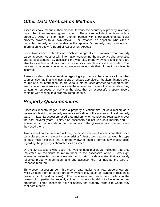#### *Other Data Verification Methods*

Assessors have means at their disposal to verify the accuracy of property inventory data other than measuring and listing. These can include interviews with a property's owner or information another person with knowledge of a particular property provides to a town official. For instance, an appellant who cites a particular property as comparable to the appellant's property may provide such information to a town's Board of Assessment Appeals.

Some towns have web sites on which an image of each improved real property parcel appears, together with information concerning the property's characteristics and its assessment. By accessing the web site, property owners and others are able to ascertain whether or not a property's characteristics are accurate. This may lead to a person contacting an assessor to indicate that information as listed is incorrect.

Assessors also obtain information regarding a property's characteristics from other sources, such as financial institutions or private appraisers. Realtors' listings are a source of such information, as are various internet sites devoted to properties that are for sale. Assessors can access these sites and review the information they contain for purposes of verifying the data that an assessor's property record contains with respect to a property listed for sale.

#### *Property Questionnaires*

Assessors recently began to use a property questionnaire (or data mailer) as a means of obtaining a property owner's verification of the accuracy of real property data. In fact, 82 assessors used data mailers when conducting revaluations over the past several years. Thirty-nine assessors did not use data mailers and 15 assessors did not indicate in their responses to the *Questionnaire* whether or not they used them.

Two types of data mailers are utilized, the most common of which is one that lists a particular property's relevant characteristics.<sup>6</sup> Instructions accompanying this type of data mailer indicate that a property owner should correct any inaccuracies regarding the property's characteristics as listed.

Of the 80 assessors who used this type of data mailer, 31 indicated that they requested all recipients to return them to the assessor's office. Forty-eight assessors instructed property owners not to return a data mailer that accurately reflected property information, and one assessor did not indicate the type of response required.

Thirty-seven assessors sent this type of data mailer to all real property owners, while 36 sent them to certain property owners only (such as owners of residential property or of condominiums). Four assessors sent such data mailers to the owners of properties that recently sold or to owners who did not allow entry to their properties. Three assessors did not specify the property owners to whom they sent data mailers.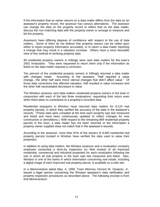If the information that an owner returns on a data mailer differs from the data on an assessor's property record, the assessor has various alternatives. The assessor can change the data on the property record to reflect that on the data mailer, discuss the non-matching data with the property owner or arrange to measure and list the property.

Assessors have differing degrees of confidence with respect to the use of data mailers. Some of them do not believe that property owners can be relied upon either to report property information accurately, or to return a data mailer reporting a change that may result in a valuation increase. Others have a more favorable view of this method of verifying property data.

All residential property owners in Killingly were sent data mailers for the town's 2002 revaluation. They were requested to return them only if the information as listed on the data mailer required a correction.

Ten percent of the residential property owners in Killingly returned a data mailer with changes noted. According to the assessor, "Half required a value change…the other half were minor clerical changes that didn't affect value." Of those data corrections that affected valuation, half resulted in value increases and the other half necessitated decreases in value.

The Windsor assessor sent data mailers residential property owners in the town in conjunction with each of the last three revaluations, requesting their return even when there were no corrections to a property's recorded data.

Residential taxpayers in Windsor have returned data mailers for 9,124 real property parcels, in which they verified the accuracy of the data in the assessor's records. (These data were compiled at the time each property was last measured and listed and have been continuously updated to reflect changes for new construction or demolitions.) With respect to the remaining 869 residential property parcels in the town, a data mailer has not been returned or the information a property owner supplied does not match that in the assessor's records.

According to the assessor, more than 91% of the owners of 9,993 residential real property parcels located in Windsor have verified the data used to value their properties.

In addition to using data mailers, the Windsor assessor and a revaluation company employee conducted a drive-by inspection (or field review) of all improved residential, commercial and industrial properties for each revaluation following the one in which all real property in the town was last measured and listed. Also, Windsor is one of the towns in which information concerning real estate, including a digital image of each improved real property parcel, is available on a web site.

In a Memorandum dated May, 4, 1999, Town Attorney Vincent W. Oswecki, Jr., issued a legal opinion concerning the Windsor assessor's data verification and property inspection procedures as described above. The following excerpt is from that Memorandum: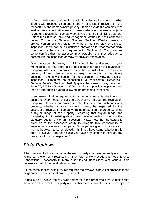"…Your methodology allows for a voluntary declaration similar to what is done with respect to personal property. It is less intrusive and more respectful of the homeowner's privacy. It also avoids the complexity of seeking an administrative search warrant where a homeowner objects to you or a revaluation company employee entering their living quarters. Unless the Office of Policy and Management of the State of Connecticut under *Connecticut General Statutes* Section 12-2(b) issues a pronouncement or interpretation of what is meant by 'view by physical inspection', there can be no definitive answer as to what methodology would satisfy the statutory requirement. Section 12-62(e) gives us some comfort that the assessor may establish the 'methodology' to accomplish the inspection or 'view by physical observation'.

One omission, however, I think should be addressed in your methodology is that there is no indication that you or the revaluation company will view unimproved residential, industrial and commercial property. I can understand why you might not do this, but the statute does not make any exception for the obligation to 'view by physical inspection'. It requires the inspection of 'all' real estate. *Connecticut General Statutes* Section 12-62(3) gives the assessor any time from June 27, 1997 to October 1, 2009 to make the physical inspection and then no later than 12 years following the preceding inspection.

In summary, I find no requirement that the assessor enter the interior of each and every house or building personally or through the revaluation company. However, our procedures should ensure that each and every property, whether improved or unimproved, be inspected by the assessor or revaluation company. Being present on the property, taking a digital image of the property, recording that digital image and comparing it with existing data would be one method to satisfy the statutory requirement of an inspection. Please note that the statute is silent as to the assessor's ability to delegate this responsibility to anyone but a revaluation company. Since you are given discretion as to the methodology to be employed, I think you have some latitude in this area. However, I do not believe you have any latitude to exclude any properties from the inspection."

#### *Field Reviews*

A field review of all or a portion of the real property in a town generally occurs prior to the completion of a revaluation. The field review procedure is not unique to Connecticut – assessors in many other taxing jurisdictions also conduct field reviews as part of the revaluation process.

As the name implies, a field review requires the reviewer's physical presence in the neighborhood in which real property is located.

During a field review, the reviewer compares each property's new valuation with the recorded data for the property and its observable characteristics. The objective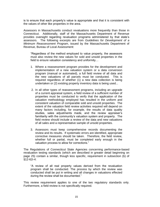is to ensure that each property's value is appropriate and that it is consistent with the values of other like properties in the area.

Assessors in Massachusetts conduct revaluations more frequently than those in Connecticut. Additionally, staff of the Massachusetts Department of Revenue provides oversight regarding revaluation programs administered by that state's assessors. The following excerpts are from *Guidelines for Development of a Minimum Reassessment Program*, issued by the Massachusetts Department of Revenue, Bureau of Local Assessment:

"Regardless of the method employed to value property, the assessors must also review the new values for sold and unsold properties in the field to ensure valuation consistency and uniformity…

- 1. Where a reassessment program provides for the development and implementation of a new valuation system or a data conversion program (manual or automated), a full field review of all data and the new valuations of all parcels must be conducted. This is required regardless of whether (1) a new data collection is being undertaken or (2) existing property inventory data is being used...
- 2. In all other types of reassessment programs, including an upgrade of a current appraisal system, a field review of a sufficient number of properties must be conducted to verify that the application of the valuation methodology employed has resulted in the uniform and consistent valuation of comparable sold and unsold properties. The extent of the valuation field review activities required will depend on many factors including, for example, the results of data quality studies, sales adjustments made, and the review appraiser's familiarity with the community's valuation system and property. The field review should include a review of the data and new valuations of all sales and a representative sample of unsold properties.
- 3. Assessors must keep comprehensive records documenting the review and its results. If systematic errors are identified, appropriate corrective measures should be taken. Therefore, the field review, whether full or partial, must be completed early enough in the valuation process to allow for corrections."

The Regulations of Connecticut State Agencies concerning performance-based revaluation testing standards (which are described in greater detail beginning on page 25) contain a similar, though less specific, requirement in subsection (b) of §12-62i-4:

"A review of all real property values derived from the revaluation program shall be conducted. The process by which the review was conducted shall be put in writing and all changes in valuations effected during the review shall be documented."

This review requirement applies to one of the two regulatory standards only. Furthermore, a field review is not specifically required.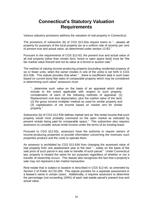#### **Connecticut's Statutory Valuation Requirements**

Various statutory provisions address the valuation of real property in Connecticut.

The provisions of subsection (b) of CGS §12-62a require towns to "…assess all property for purposes of the local property tax at a uniform rate of seventy per cent of present true and actual value, as determined under section 12-63."

Pursuant to the requirements of CGS §12-63, the present true and actual value of all real property (other than certain farm, forest or open space land) must be "the fair market value thereof and not its value at a forced or auction sale."

The method of valuing income-producing property (excluding residential property of six or fewer units, when the owner resides in one of the units) is set forth in CGS §12-63b. This statute provides that when "…there is insufficient data in such town based on current bona fide sales of comparable property which may be considered in determining such value" assessors must:

"…determine such value on the basis of an appraisal which shall include to the extent applicable with respect to such property, consideration of each of the following methods of appraisal: (1) Replacement cost less depreciation, plus the market value of the land, (2) the gross income multiplier method as used for similar property and (3) capitalization of net income based on market rent for similar property."

Subsection (b) of CGS §12-63b defines market rent as "the rental income that such property would most probably command on the open market as indicated by present rentals being paid for comparable space." This subsection also requires assessors to consider actual rental income under the terms of an existing lease.

Pursuant to CGS §12-63c, assessors have the authority to require owners of income-producing properties to provide information concerning the revenues such properties produce and the costs to operate them.

An assessor is prohibited by CGS §12-63d from changing the assessed value of real property from one assessment year to the next "…solely on the basis of the sale price of such parcel in any sale or transfer of such parcel." Under Connecticut law, property is treated the same for tax purposes regardless of whether or not a transfer of ownership occurs. This statute also recognizes the fact that a property's sale may not represent a fair market transaction.

Real estate that is subject to taxation is described in CGS §12-64, as amended by Section 2 of Public Act 03-269. This statute provides for a separate assessment in a lessee's name in certain cases. Additionally, it requires assessors to determine the percentage (not exceeding 100%) of each real estate parcel's present true and actual value.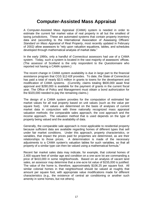#### **Computer-Assisted Mass Appraisal**

A Computer-Assisted Mass Appraisal (CAMA) system is needed in order to estimate the current fair market value of real property in all but the smallest of taxing jurisdictions. These are automated systems that contain property inventory data and (according to the International Association of Assessing Officers' *Standard on Mass Appraisal of Real Property*, most recently updated in February of 2002*)* allow assessors to "rely upon valuation equations, tables, and schedules developed through mathematical analysis of market data."

In the early 1990s, only a handful of Connecticut assessors had use of a CAMA system. Today, such a system is located in the vast majority of assessors' offices. (The assessor of Scotland is the only respondent to the *Questionnaire* who reported not having a CAMA system.)

The recent change in CAMA system availability is due in large part to the financial assistance program that CGS §12-63f provides. To date, the State of Connecticut has paid a total of nearly \$3.5 million in grants to towns for the development and modification of CAMA systems. (Currently, claims totaling \$600,000 await final approval and \$280,000 is available for the payment of grants in the current fiscal year. The Office of Policy and Management must obtain a bond authorization for the \$320,000 needed to pay the remaining claims.)

The design of a CAMA system provides for the computation of estimated fair market values for all real property based on unit values (such as the value per square foot). Unit values are determined on the basis of analyses of current market data in conjunction with three nationally recognized mass appraisal valuation methods: the comparable sales approach, the cost approach and the income approach. The valuation method that is used depends on the type of property being valued and the availability of data.

Generally, the comparable sale approach is most applicable to residential property because sufficient data are available regarding homes of different types that sell under fair market conditions. Under this approach, property characteristics, or variables, that impact the prices paid for properties are determined, as are their relationships to those prices. A determination is made of the necessary adjustments to a CAMA system's valuation tables for such variables, so that all property of a similar type can then be valued using a mathematical formula.<sup>7</sup>

Recent fair market sales data may indicate, for example, that colonial homes of 2,400 square feet of similar age and condition on a one-acre lot are commanding a price of \$410,000 in some neighborhoods. Based on an analysis of vacant land sales, an assessor may determine that a one-acre lot value of \$155,000 is justified. The value of the home is, therefore, approximately \$106.25 per square foot. All similar colonial homes in that neighborhood should be valued at roughly that amount per square foot, with appropriate value modifications made for different characteristics (e.g., the existence of central air conditioning or another such amenity in some homes, but not others).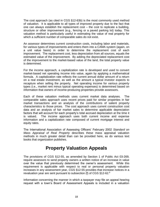The cost approach (as cited in CGS §12-63b) is the most commonly used method of valuation. It is applicable to all types of improved property due to the fact that one can always establish the replacement cost – the cost to replicate a building, structure or other improvement (e.g., fencing or a paved parking lot) today. This valuation method is particularly useful in estimating the value of real property for which a sufficient number of comparable sales do not exist.

An assessor determines current construction costs, including labor and materials, for various types of improvements and enters them into a CAMA system (again, on a unit value basis) in order to determine the replacement cost of each improvement. The replacement cost, less depreciation from all sources, equals the estimated value of the improvement. By adding the depreciated replacement cost of the improvement to the market-based value of the land, the total property value is determined.

For the income approach, a capitalization rate is developed and used to convert market-based net operating income into value, again by applying a mathematical formula. A capitalization rate reflects the current annual dollar amount of a return on a real estate investment, as well as the amount a typical investor expects to recapture when selling the property. Net operating income for various property types (i.e., market rent minus typical operating expenses) is determined based on information that owners of income-producing properties provide assessors.

Each of these valuation methods uses current market data analyses. The comparable sales approach uses recent prices paid for similar properties in fair market transactions and an analysis of the contributions of salient property characteristics to those prices. The cost approach uses current construction cost data and an analysis of fair market sales to determine applicable depreciation factors that will account for each property's total accrued depreciation at the time it is valued. The income approach uses both current income and expense information and a capitalization rate composed of current mortgage interest and equity rates.

The International Association of Assessing Officers' February 2002 *Standard on Mass Appraisal of Real Property* describes these mass appraisal valuation methods in much greater detail than can be provided here, as do various text books that organization publishes.

#### **Property Valuation Appeals**

The provisions of CGS §12-55, as amended by Section 1 of Public Act 03-269, require assessors to send property owners a written notice of an increase in value over the value that previously determined the owner's assessment. While this requirement is applicable with respect to real or personal property valuation increases in any assessment year, CGS §12-55 provides that increase notices in a revaluation year are sent pursuant to subsection (f) of CGS §12-62.<sup>8</sup>

Information concerning the manner in which a taxpayer may file an appeal hearing request with a town's Board of Assessment Appeals is included in a valuation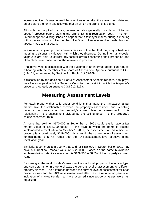increase notice. Assessors mail these notices on or after the assessment date and on or before the tenth day following that on which the grand list is signed.

Although not required by law, assessors also generally provide an "informal appeal" process before signing the grand list in a revaluation year. The term "informal appeal" distinguishes an appeal that a taxpayer makes during a meeting with a person who is not a member of a Board of Assessment Appeals, from an appeal made to that board.

In a revaluation year, property owners receive notice that that they may schedule a meeting to discuss a valuation with which they disagree. During informal appeals, taxpayers are able to correct any factual errors concerning their properties and often obtain information about the revaluation process.

A taxpayer who is dissatisfied with the outcome of an informal appeal can request a hearing with the members of a Board of Assessment Appeals, pursuant to CGS §12-111, as amended by Section 3 of Public Act 03-269.

If dissatisfied by the decision a Board of Assessment Appeals renders, a taxpayer may file an appeal with the Superior Court for the district in which the taxpayer's property is located, pursuant to CGS §12-117a.

#### **Measuring Assessment Levels**

For each property that sells under conditions that make the transaction a fair market sale, the relationship between the property's assessment and its selling price is the measure of the property's current level of assessment. This relationship – the assessment divided by the selling price  $-$  is the property's sales/assessment ratio.

A home that sold for \$170,000 in September of 2001 could easily have a fair market value of \$255,000 today. If the town in which the home is located implemented a revaluation on October 1, 2001, the assessment of this residential property is approximately \$119,000. As a result, the current level of assessment for this home is 46.7%, rather than the 70% assessment level effective in the revaluation year.

Similarly, a commercial property that sold for \$185,000 in September of 2001 may have a current fair market value of \$222,000. Based on the same revaluation implementation date, its assessment is \$129,500 – 58.3% of the property's current value.

By looking at the total of sales/assessment ratios for all property of a similar type, one can determine, in a general way, the current level of assessment for different property classes. The difference between the current level of assessment for each property class and the 70% assessment level effective in a revaluation year is an indication of market trends that have occurred since property values were last equalized.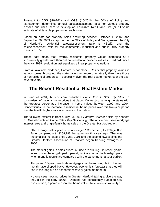Pursuant to CGS §10-261a and CGS §10-261b, the Office of Policy and Management determines annual sales/assessment ratios for various property classes and uses them to develop an Equalized Net Grand List (or full-value estimate of all taxable property) for each town.

Based on data for property sales occurring between October 1, 2002 and September 30, 2003 as reported to the Office of Policy and Management, the City of Hartford's residential sales/assessment ratio is 43.2%, and the sales/assessment ratio for the commercial, industrial and public utility property class is 61.3%.

These data mean that, overall, residential property values increased at a substantially greater rate than did nonresidential property values in Hartford, since the city's 1999 revaluation last equalized all real property valuations.

From all available evidence, Hartford is not alone. Residential property values in various towns throughout the state have risen more dramatically than have those of nonresidential properties – especially given the real estate market over the past several years.

#### **The Recent Residential Real Estate Market**

In June of 2004, MSNBC.com published *Home Prices, State By State*, a comparison of national home prices that placed Connecticut among the states with the greatest percentage increase in home values between 1999 and 2004. Connecticut's 50.5% increase in residential home prices over this five-year period was the twelfth highest rate of increase in the nation.

The following excerpt is from a July 23, 2004 *Hartford Courant* article by Kenneth R. Gosselin entitled *Home Sales May Be Cooling*. The article discusses mortgage interest rates and single-family home sales in the Greater Hartford region:

"The average sales price rose a meager 1.39 percent, to \$262,400 in June, compared with \$258,793 the same month a year ago. That was the smallest increase since June, 2001 and the second lowest since the Greater Hartford Association of Realtors began tracking averages in 2000.

The modest gains in sales prices in June are striking. In recent years, sales prices have galloped upward, typically at a double-digit pace when monthly results are compared with the same month a year earlier.

Thirty- and 15-year, fixed-rate mortgages had been rising, but in the last month have slipped back. However, economists forecast that they will rise in the long run as economic recovery gains momentum.

No one sees housing prices in Greater Hartford taking a dive the way they did in the early 1990s. Demand has consistently outpaced new construction, a prime reason that home values have risen so robustly."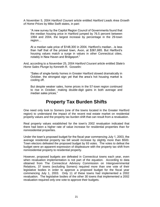A November 5, 2004 *Hartford Courant* article entitled *Hartford Leads Area Growth of Home Prices* by Mike Swift states, in part*:*

"A new survey by the Capitol Region Council of Governments found that the median housing price in Hartford jumped by 76.5 percent between 1994 and 2004, the largest increase by percentage in the 29-town region…

At a median sale price of \$148,300 in 2004, Hartford's median…is less than half that of the priciest town, Avon, at \$361,665. But Hartford's housing values match a surge in values in other Connecticut cities, notably in New Haven and Bridgeport."

And, according to a November 25, 2004 *Hartford Courant* article entitled *State's Home Sales Plunge* by Kenneth R. Gosselin*:*

"Sales of single-family homes in Greater Hartford slowed dramatically in October, the strongest sign yet that the area's hot housing market is cooling off.

But despite weaker sales, home prices in the 57-town region continued to rise in October, making double-digit gains in both average and median sales prices."

#### **Property Tax Burden Shifts**

One need only look to Somers (one of the towns located in the Greater Hartford region) to understand the impact of the recent real estate market on residential property values and the property tax burden shift that can result from a revaluation.

Real property values established for the town's 2002 revaluation indicated that there had been a higher rate of value increase for residential properties than for nonresidential properties.

Under the town's proposed budget for the fiscal year commencing July 1, 2003, the average residential property tax bill would increase by slightly more than \$500. Town electors defeated the proposed budget by 93 votes. The votes to defeat the budget were an apparent expression of displeasure with the property tax shift from nonresidential property to residential property.

However, proposed budgets are defeated in Connecticut towns each year, even when revaluation implementation is not part of the equation. According to data obtained from The Connecticut Advisory Commission on Intergovernmental Relations, 37 towns (excluding Somers) required more than one vote of their legislative bodies in order to approve a proposed budget for the fiscal year commencing July 1, 2003. Only 11 of these towns had implemented a 2002 revaluation. The legislative bodies of the other 30 towns that implemented a 2002 revaluation required only one vote to approve their budgets.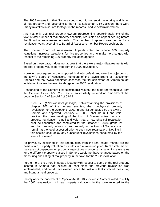The 2002 revaluation that Somers conducted did not entail measuring and listing all real property and, according to then First Selectman Dick Jackson, there were "many mistakes in square footage" in the records used to determine values.

And yet, only 295 real property owners (representing approximately 5% of the town's total number of real property accounts) requested an appeal hearing before the Board of Assessment Appeals. The number of appeals was normal for a revaluation year, according to Board of Assessors member Robert Loubier, Jr.

The Somers Board of Assessment Appeals voted to reduce 100 property valuations, increase valuations for five properties and to make no changes with respect to the remaining 190 property valuation appeals.

Based on these data, it does not appear that there were major disagreements with the real property values derived from the 2002 revaluation.

However, subsequent to the proposed budget's defeat, and over the objections of the town's Board of Assessors, members of the town's Board of Assessment Appeals and the town's appointed assessor, the first selectman of Somers sought legislation to allow the town to abrogate the 2002 revaluation.

Responding to the Somers first selectman's request, the state representative from the General Assembly's 52nd District successfully initiated an amendment that became Section 2 of Special Act 03-18:

"Sec. 2. *(Effective from passage)* Notwithstanding the provisions of chapter 203 of the general statutes, the nonphysical property revaluation for the October 1, 2002, grand list conducted by the town of Somers and approved February 28, 2003, shall be null and void, provided the town meeting of the town of Somers votes that such property revaluation is null and void, that a new physical revaluation shall be conducted and completed for the October 1, 2004, grand list and that property values of real property in the town of Somers shall remain at the level assessed prior to such new revaluation. Nothing in this section shall delay any subsequent revaluations conducted by the town of Somers."

As previously explained in this report, data from the real estate market are the basis of real property valuation estimates in a revaluation year. Real estate market data are not dependent on property inspections – property valuation increase rates for the different property classes in Somers would not have changed based on the measuring and listing of real property in the town for the 2002 revaluation.

Furthermore, the errors in square footage with respect to some of the real property located in Somers had existed at least since the previous revaluation was implemented, and could have existed since the last one that involved measuring and listing all real property.

Shortly after the enactment of Special Act 03-18, electors in Somers voted to nullify the 2002 revaluation. All real property valuations in the town reverted to the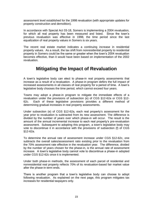assessment level established for the 1998 revaluation (with appropriate updates for property construction and demolition).

In accordance with Special Act 03-18, Somers is implementing a 2004 revaluation, for which all real property has been measured and listed. Since the town's previous revaluation was effective in 1998, the time period since the last equalization of real property values in Somers is six years.

The recent real estate market indicates a continuing increase in residential property values. As a result, the tax shift from nonresidential property to residential property in Somers could be the same or greater when the town's 2004 revaluation becomes effective, than it would have been based on implementation of the 2002 revaluation.

#### **Mitigating the Impact of Revaluation**

A town's legislative body can elect to phase-in real property assessments that increase as a result of a revaluation. A phase-in program defers the full impact of increased assessments in all classes of real property for a period of time. A town's legislative body chooses the time period, which cannot exceed four years.

Towns may adopt a phase-in program to mitigate the immediate effects of a revaluation under the provisions of subsection (e) of CGS §12-62a or CGS §12- 62c. Each of these legislative provisions provides a different method of determining gradual increases in real property assessments.

Under subsection (e) of CGS §12-62a, each real property's assessment for the year prior to revaluation is subtracted from its new assessment. The difference is divided by the number of years over which phase-in will occur. The result is the amount of the annual incremental increase to each real property's pre-revaluation assessment. Subsequent to adopting this program, a town's legislative body may vote to discontinue it in accordance with the provisions of subsection (f) of CGS §12-62a.

To determine the annual rate of assessment increase under CGS §12-62c, one subtracts the overall sales/assessment ratio existing prior to the revaluation from the 70% assessment rate effective in the revaluation year. The difference, divided by the number of years chosen for the phase-in, is the annual rate of assessment increase. A town's legislative body cannot vote to discontinue a phase-in adopted under CGS §12-62c once it is implemented.

Under both phase-in methods, the assessment of each parcel of residential and nonresidential real property reflects 70% of its revaluation-based fair market value after the phase-in term ends.

There is another program that a town's legislative body can choose to adopt following revaluation. As explained on the next page, this program mitigates tax increases for residential taxpayers only.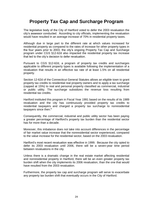### **Property Tax Cap and Surcharge Program**

The legislative body of the City of Hartford voted to defer the 2003 revaluation the city's assessor conducted. According to city officials, implementing the revaluation would have resulted in an average increase of 70% in residential property taxes.

Although due in large part to the different rate at which values increased for residential property as compared to the rates of increase for other property types in the four years prior to 2003, the city's ongoing Property Tax Cap and Surcharge program under CGS §12-62d also impacted the residential property tax increase that led to the city's decision to defer revaluation.

Pursuant to CGS §12-62d, a program of property tax credits and surcharges applicable to different property types is available following the implementation of a revaluation that results in an effective tax rate of at least 1.5% on all residential property.

Section 12-62d of the Connecticut General Statutes allows an eligible town to grant property tax credits to residential real property owners and to apply a tax surcharge (capped at 15%) to real and personal property classified as commercial, industrial or public utility. The surcharge subsidizes the revenue loss resulting from residential tax credits.

Hartford instituted this program in Fiscal Year 1991 based on the results of its 1989 revaluation and the city has continuously provided property tax credits to residential taxpayers and charged a property tax surcharge to nonresidential taxpayers since then.<sup>9</sup>

Consequently, the commercial, industrial and public utility sector has been paying a greater percentage of Hartford's property tax burden than the residential sector has for more than a decade.

Moreover, this imbalance does not take into account differences in the percentage of fair market value increase that the nonresidential sector experienced, compared to the value increase for the residential sector, based on the 2003 revaluation.

Hartford's most recent revaluation was effective in 1999. Because the city opted to defer its 2003 revaluation until 2006, there will be a seven-year time period between revaluations in the city.

Unless there is a dramatic change in the real estate market affecting residential and nonresidential property in Hartford, there will be an even greater property tax burden shift when the city implements its 2006 revaluation, than the one that would have resulted from the 2003 revaluation.

Furthermore, the property tax cap and surcharge program will serve to exacerbate any property tax burden shift that eventually occurs in the City of Hartford.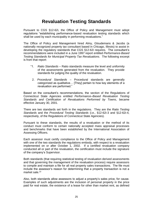### **Revaluation Testing Standards**

Pursuant to CGS §12-62i, the Office of Policy and Management must adopt regulations "establishing performance-based revaluation testing standards which shall be used by each municipality in performing revaluations."

The Office of Policy and Management hired Almy, Gloudemans & Jacobs (a nationally recognized property tax consultant based in Chicago, Illinois) to assist in developing the regulatory standards that CGS §12-62i requires. The consultant's recommendations were included in a June 1997 report entitled *Performance-Based Testing Standards for Municipal Property Tax Revaluations*. The following excerpt is from that report:

- "1. *Ratio Standards* Ratio standards measure the level and uniformity of the assessments generated from the revaluation. They provide standards for judging the quality of the revaluation.
- 2. *Procedural Standards* Procedural standards are generally categorized as qualitative… [They] pertain to how key elements of a revaluation are performed."

Based on the consultant's recommendations, the section of the Regulations of Connecticut State Agencies entitled *Performance–Based Revaluation Testing Standards and Certification of Revaluations Performed by Towns*, became effective January 30, 2001.

There are two standards set forth in the regulations. They are the *Ratio Testing Standards* and the *Procedural Testing Standards* (i.e., §12-62i-3 and §12-62i-4, respectively, of the Regulations of Connecticut State Agencies).

Pursuant to these standards, the results of a revaluation or the method of its conduct must conform to certain nationally accepted mass appraisal processes and benchmarks that have been established by the International Association of Assessing Officers.

Each assessor must certify compliance to the Office of Policy and Management with one of the two standards the regulations embody, with respect to a revaluation implemented on or after October 1, 2002. If a certified revaluation company conducted all or part of the revaluation, the certification must include the signature of the company's Supervisor.

Both standards (that requiring statistical testing of revaluation derived assessments and that governing the management of the revaluation process) require assessors to compile and maintain a file for all real property sales transactions. The file must include the assessor's reason for determining that a property transaction is not a market sale.<sup>10</sup>

Also, both standards allow assessors to adjust a property's sales price, for cause. Examples of such adjustments are the inclusion of personal property in the price paid for real estate, the existence of a lease for other than market rent, as defined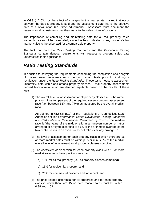in CGS §12-63b, or the effect of changes in the real estate market that occur between the date a property is sold and the assessment date that is the effective date of a revaluation (i.e., time adjustment). Assessors must document the reasons for all adjustments that they make to the sales prices of property.

The importance of compiling and maintaining data for all real property sales transactions cannot be overstated, since the best indicator of any property's fair market value is the price paid for a comparable property.

The fact that both the *Ratio Testing Standards* and the *Procedural Testing Standards* contain identical requirements with respect to property sales data underscores their significance.

#### *Ratio Testing Standards*

In addition to satisfying the requirements concerning the compilation and analysis of market sales, assessors must perform certain tests prior to finalizing a revaluation under the *Ratio Testing Standards*. These tests measure assessment uniformity, both within and among property classes. Real property assessments derived from a revaluation are deemed equitable based on the results of these tests:

(1) The overall level of assessment for all property classes must be within plus or minus ten percent of the required seventy percent assessment ratio (i.e., between 63% and 77%) as measured by the overall median ratio.

As defined in §12-62i-1(12) of the Regulations of Connecticut State Agencies entitled *Performance–Based Revaluation Testing Standards and Certification of Revaluations Performed by Towns*, the median ratio is "the value of the middle ratio in an uneven number of ratios arranged or arrayed according to size, or the arithmetic average of the two central ratios in an even number of ratios similarly arranged."

- (2) The level of assessment for each property class in which there are 15 or more market sales must be within plus or minus 5% of the median overall level of assessment for all property classes combined.
- (3) The coefficient of dispersion for each property class with 15 or more market sales must be equal to or less than:
	- a) 15% for all real property (i.e., all property classes combined);
	- b) 15% for residential property; and
	- c) 20% for commercial property and for vacant land.
- (4) The price related differential for all properties and for each property class in which there are 15 or more market sales must be within 0.98 and 1.03.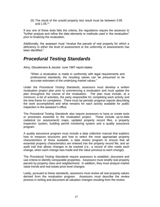(5) The result of the unsold property test result must be between 0.95 and 1.05.<sup>11</sup>

If any one of these tests fails the criteria, the regulations require the assessor to "further analyze and refine the data elements or methods used in the revaluation" prior to finalizing the revaluation.

Additionally, the assessor must "revalue the parcels of real property for which a deficiency in either the level of assessment or the uniformity of assessments has been identified."

#### *Procedural Testing Standards*

Almy, Gloudemans & Jacobs' June 1997 report states:

"When a revaluation is made in conformity with legal requirements and professional standards, the resulting values can be presumed to be accurate estimates of the underlying market values."

Under the *Procedural Testing Standards*, assessors must develop a written revaluation project plan prior to commencing a revaluation and must update the plan throughout the course of the revaluation. The plan must include, at a minimum, a list of activities, the party responsible for completing each activity and the time frame for completion. There must be periodic progress reports describing the work accomplished and what remains for each activity available for public inspection in the assessor's office.

The *Procedural Testing Standards* also require assessors to have or create tools or processes essential to the revaluation project. These include up-to-date cadastral (or assessment) maps, updated property record files, a property inspection system, building permit monitoring system and a quality assurance program.

A quality assurance program must include a data collection manual that explains how to measure structures and how to select the most appropriate property characteristics of those available, a data review program to ensure that all essential property characteristics are entered into the property record file, and an audit trail that allows changes to be tracked (i.e., a record of who made each change, when each change was made and the value previous to each change).

The *Procedural Testing Standards* require assessors to establish, document and use criteria to identify comparable properties. Assessors must stratify real property parcels by property class and neighborhood. In addition, they must analyze market value trends and real estate price level changes.

Lastly, pursuant to these standards, assessors must review all real property values derived from the revaluation program. Assessors must describe the review process in writing and document all valuation changes resulting from the review.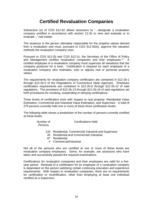#### **Certified Revaluation Companies**

Subsection (e) of CGS §12-62 allows assessors to "…designate a revaluation company certified in accordance with section 12-2b to view and evaluate or to evaluate..." real estate.

The assessor is the person ultimately responsible for the property values derived from a revaluation and must, pursuant to CGS §12-62(e), approve the valuation methods the revaluation company uses.

Pursuant to CGS §12-2b and CGS §12-2c, the Secretary of the Office of Policy and Management certifies revaluation companies and their employees.<sup>12</sup> A certified employee of a revaluation company must supervise all valuations that the company produces for a town. Certification is required for each employee of a revaluation company who estimates, sets or adjusts real or personal property values.

The requirements for revaluation company certification are contained in §12-2b-1 through §12-2b-5 of the Regulations of Connecticut State Agencies. Employee certification requirements are contained in §12-2b-6 through §12-2b-12 of said regulations. The provisions of §12-2b-13 through §12-2b-19 of said regulations set forth procedures for revoking, suspending or denying certifications.

Three levels of certification exist with respect to real property: Residential Value Estimation, Commercial and Industrial Value Estimation, and Supervisor. A total of 279 persons currently hold one or more of these three certification levels.

The following table shows a breakdown of the number of persons currently certified at these levels.

| Number of | <b>Certifications Held</b> |
|-----------|----------------------------|
| Persons   |                            |

- 133 Residential, Commercial/ Industrial and Supervisor
- 45 Residential and Commercial/ Industrial
- 97 Residential
- 4 Commercial/Industrial

Not all of the persons who are certified at one or more of these levels are revaluation company employees. Some, for example, are assessors who have taken and successfully passed the required examinations.

Certifications for revaluation companies and their employees are valid for a fiveyear period. Renewal of a certification for an employee of a revaluation company is dependant on the person satisfying certain continuing education and experience requirements. With respect to revaluation companies, there are no requirements for certification or recertification, other than employing at least one individual certified as a Supervisor.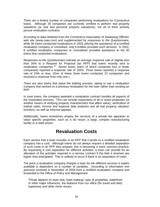There are a limited number of companies performing revaluations for Connecticut towns. Although 28 companies are currently certified to perform real property valuations (or real and personal property valuations), not all of them actively pursue revaluation contracts.

According to data obtained from the Connecticut Association of Assessing Officers' web site (www.caao.com) and supplemented by responses to the *Questionnaire*, while 36 towns conducted revaluations in 2003 utilizing the assistance of a certified revaluation company or consultant, only 6 entities provided such services. In 2002, 8 certified revaluation companies or consultants provided assistance to the 30 towns that conducted revaluations.

Responses to the *Questionnaire* indicate an average response rate of slightly less than 34% to a Request for Proposal (an RFP) that towns recently sent to revaluation companies.<sup>13</sup> Seven towns (each of which contacted four or fewer companies) reported a response rate of 100%. Three towns reported a response rate of 10% or less. (One of these three towns contacted 10 companies and received a response from only one.)

There are also towns that waive the bidding process, opting to use a revaluation company that worked on a previous revaluation for the town rather than sending an RFP.

In most towns, the company awarded a revaluation contract handles all aspects of the revaluation process. This can include inspections of all or some properties (or another means of verifying property characteristics that affect value), verification of market sales, income and expense data analyses and all real property valuation functions, as well as informal appeals.

Additionally, towns sometimes employ the services of a private fee appraiser to value specific properties, such as a ski resort, a large, complex manufacturing facility or a state prison.

#### **Revaluation Costs**

Each service that a town includes in an RFP that it sends to a certified revaluation company has a cost. Although towns do not always request a detailed separation of such costs in an RFP they prepare, this is becoming a more common practice. By requesting a cost separation for different activities, a town can provide for an alteration of the activities required in a service contract if the bids it receives are higher than anticipated. This is unlikely to occur if there is no separation of costs.

The price a revaluation company charges a town for the different services it makes available is dependent on a number of variables. According to information one assessor received in November of 2004 from a certified revaluation company and forwarded to the Office of Policy and Management:

"Prices depend on town size, town makeup, type of properties, waterfront or other major influences, the distance from our office (for travel and daily expenses) and other minor issues.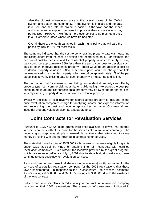Also the biggest influence on price is the overall status of the CAMA system and data in the community. If the system is in place and the data is current and accurate the project is easier. If the town has the space and computers to support the valuation process then some savings may be realized. However…we find it more economical to do most data entry in our Corporate Office where we have trained staff.

Overall there are enough variables in each municipality that will vary the prices by 10% to 15% for most tasks."

The company indicated that the cost to verify existing property data via measuring and listing differs from the cost to develop and record such data. For example, the per parcel cost to measure and list residential property in order to verify existing data could be approximately 35% less than the per parcel cost to develop such data for each improved residential property. There would be an additional cost for residential property valuation. Also, a separate price would be charged for field reviews related to residential property, which would be approximately 1/3 of the per parcel cost to verify existing data for such property via measuring and listing.

The per parcel cost for measuring and listing nonresidential property can differ by property type (i.e., commercial, industrial or public utility). Moreover, the cost per parcel to measure and list nonresidential property may be twice the per parcel cost to verify existing property data for improved residential property.

Typically, the cost of field reviews for nonresidential property is included in the price revaluation companies charge for analyzing income and expense information and reconciling the cost and income approaches to value. Commercial and industrial property valuation also has a separate price.

#### **Joint Contracts for Revaluation Services**

Pursuant to CGS §12-62j, state grants were once available to towns that entered into joint contracts with other towns for the services of a revaluation company. The underlying concept was simple – reward those towns that attempted to save money by joining with another town(s) in contracting for services.

The state distributed a total of \$545,000 to those towns that were eligible for grants under CGS §12-62j by virtue of entering into joint contracts with certified revaluation companies. Even without the incentive provided by this grant program, which was repealed effective July 1, 2001 due to state budget constraints, towns continue to contract jointly for revaluation services.

Avon and Canton (two towns that share a single assessor) jointly contracted for the services of a certified revaluation company for the 2003 revaluations that these towns implemented. In response to the *Questionnaire*, the assessor estimated Avon's savings at \$30,000, and Canton's savings at \$60,000, due to the existence of the joint contract.

Suffield and Windsor also entered into a joint contract for revaluation company services for their 2003 revaluations. The assessors of these towns indicated in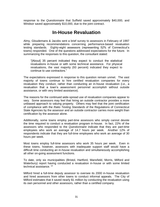response to the *Questionnaire* that Suffield saved approximately \$40,000, and Windsor saved approximately \$10,000, due to the joint contract.

#### **In-House Revaluation**

Almy, Gloudemans & Jacobs sent a brief survey to assessors in February of 1997 while preparing recommendations concerning performance-based revaluation testing standards. Eighty-eight assessors (representing 52% of Connecticut's towns) responded. One of the questions addressed expectations for the future. In summarizing the responses to this question, the consultant stated:

"[About] 35 percent indicated they expect to conduct the statistical revaluations in-house or with some technical assistance. For physical revaluations, the vast majority (93 percent) indicated they expect to continue to use contractors."

The expectations expressed in response to this question remain unmet. The vast majority of towns continue to hire certified revaluation companies for every revaluation they conduct, rather than conducting an in-house revaluation (i.e., a revaluation that a town's assessment personnel accomplish without outside assistance, or with very limited assistance).

The reasons for the continued wide-spread use of revaluation companies appear to vary. Some assessors may feel that hiring an outside contractor provides a more unbiased approach to valuing property. Others may feel that the joint certification of compliance with the *Ratio Testing Standards* of the Regulations of Connecticut State Agencies by the assessor and an outside contractor carries more weight than certification by the assessor alone.

Additionally, some towns employ part-time assessors who simply cannot devote the time required to conduct a revaluation program in-house. In fact, 22% of the assessors who responded to the *Questionnaire* indicate that they are part-time employees who work an average of 14.7 hours per week. Another 12% of respondents indicate that they are full-time employees who work an average of 30 hours per week.

Most towns employ full-time assessors who work 35 hours per week. Even in these towns, however, assessors with inadequate support staff would have a difficult time conducting an in-house revaluation and simultaneously accomplishing all other on-going assessment functions.

To date, only six municipalities (Bristol, Hartford, Mansfield, Morris, Milford and Waterbury) report having conducted a revaluation in-house or with some limited technical assistance.<sup>14</sup>

Milford hired a full-time deputy assessor to oversee its 2000 in-house revaluation and hired assessors from other towns to conduct informal appeals. The City of Milford estimates that it saved nearly \$1 million by conducting the revaluation using its own personnel and other assessors, rather than a certified company.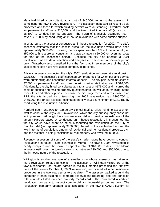Mansfield hired a consultant, at a cost of \$40,000, to assist the assessor in completing the town's 2000 revaluation. The assessor inspected all recently sold properties and those for which building permits were outstanding. Overtime costs for permanent staff were \$15,000, and the town hired interim staff (at a cost of \$8,500) to conduct informal appeals. The Town of Mansfield estimates that it saved \$270,000 by conducting an in-house revaluation with some outside support.

In Waterbury, the assessor conducted an in-house revaluation for 2002. The city's assessor estimates that the cost to outsource the revaluation would have been approximately \$750,000. Instead, the city spent less than 10% of that amount (i.e., \$50,000 to hire a project consultant and approximately \$20,000 on overtime costs for staff of the assessor's office). Because the city also effected a 2001 revaluation, market data collection and analyses encompassed a one-year period only. Waterbury also benefited from the fact that three members of the city's assessment staff have revaluation company experience.

Bristol's assessor conducted the city's 2002 revaluation in-house, at a total cost of \$225,520. The assessor's staff inspected 904 properties for which building permits were outstanding and conducted informal appeals. The city paid overtime costs of \$7,500 for permanent staff, and hired interim clerical staff at a cost of \$16,000. Additionally, the city hired consultants at a total cost of \$175,000 and incurred the costs of printing and mailing property questionnaires, as well as purchasing laptop computers and other supplies. Because the bid range received in response to an RFP the city issued for outsourcing the 2002 revaluation was \$366,700 to \$455,200, the Bristol assessor estimates the city saved a minimum of \$141,180 by conducting the revaluation in-house.

Hartford spent \$60,000 for temporary clerical staff to allow full-time assessment staff to conduct the city's 2003 revaluation, which the city subsequently chose not to implement. Although the city's assessor did not provide an estimate of the amount Hartford saved by conducting an in-house revaluation, it is assumed that the city would have spent as much outsourcing the revaluation as the City of Stamford did (i.e., approximately \$750,000), based on the similarities between the two in terms of population, amount of residential and nonresidential property, etc., and the fact that in both jurisdictions all real property was revalued in 2003.

Recently, assessors of some of the state's smaller towns have begun to conduct revaluations in-house. One example is Morris. The town's 2004 revaluation is nearly complete and the town has spent a total of \$46,000 to date. The Morris assessor estimates the town's savings at between \$30,000 and \$50,000, due to the in-house nature of the revaluation.

Willington is another example of a smaller town whose assessor has taken on more revaluation-related functions. The assessor of Willington visited 1/3 of the town's residential real estate parcels in the four months preceding the effective date of the town's October 1, 2003 revaluation, and visited all other residential properties in the two years prior to that date. The assessor walked around the perimeter of each building to compare observations regarding size and condition with attributes listed on each property record card. The town hired a certified revaluation company to inspect commercial and industrial properties only. The revaluation company updated cost schedules in the town's CAMA system for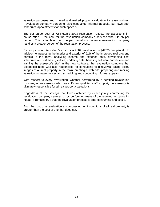valuation purposes and printed and mailed property valuation increase notices. Revaluation company personnel also conducted informal appeals, but town staff scheduled appointments for such appeals.

The per parcel cost of Willington's 2003 revaluation reflects the assessor's inhouse effort – the cost for the revaluation company's services was \$11.75 per parcel. This is far less than the per parcel cost when a revaluation company handles a greater portion of the revaluation process.

By comparison, Bloomfield's cost for a 2004 revaluation is \$42.28 per parcel. In addition to inspecting the interior and exterior of 91% of the improved real property parcels in the town, analyzing income and expense data, developing cost schedules and estimating values, updating data, handling software conversion and training the assessor's staff in the new software, the revaluation company that Bloomfield hired was also responsible for conducting field reviews, taking digital images of all real property in the town, creating a web site, preparing and mailing valuation increase notices and scheduling and conducting informal appeals.

With respect to every revaluation, whether performed by a certified revaluation company or an assessor who has sufficient qualified staff support, the assessor is ultimately responsible for all real property valuations.

Regardless of the savings that towns achieve by either jointly contracting for revaluation company services or by performing many of the required functions inhouse, it remains true that the revaluation process is time-consuming and costly.

And, the cost of a revaluation encompassing full inspections of all real property is greater than the cost of one that does not.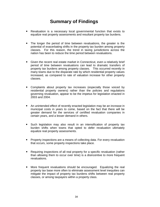### **Summary of Findings**

- Revaluation is a necessary local governmental function that exists to equalize real property assessments and resultant property tax burdens.
- The longer the period of time between revaluations, the greater is the potential of exacerbating shifts in the property tax burden among property classes. For this reason, the trend in taxing jurisdictions across the nation has been to reduce the time period between revaluations.
- Given the recent real estate market in Connecticut, even a relatively brief period of time between revaluations can lead to dramatic transfers of property tax burdens among property classes. This occurred recently in many towns due to the disparate rate by which residential property values increased, as compared to rate of valuation increase for other property classes.
- Complaints about property tax increases (especially those voiced by residential property owners) rather than the policies and regulations governing revaluation, appear to be the impetus for legislation enacted in 2003 and 2004.
- An unintended effect of recently enacted legislation may be an increase in municipal costs in years to come, based on the fact that there will be greater demand for the services of certified revaluation companies in certain years, and a lesser demand in others.
- Such legislation may also result in an intensification of property tax burden shifts when towns that opted to defer revaluation ultimately equalize real property assessments.
- Property inspections are a means of collecting data. For every revaluation that occurs, some property inspections take place.
- Requiring inspections of all real property for a specific revaluation (rather than allowing them to occur over time) is a disincentive to more frequent revaluations.
- More frequent revaluations should be encouraged. Equalizing the real property tax base more often to eliminate assessment level inequities can mitigate the impact of property tax burdens shifts between real property classes, or among taxpayers within a property class.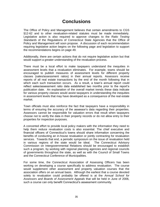#### **Conclusions**

The Office of Policy and Management believes that certain amendments to CGS §12-62 and to other revaluation-related statutes must be made immediately. Legislative action is also required to approve changes to the *Ratio Testing Standards* of the Regulations of Connecticut State Agencies that the Office of Policy and Management will soon propose. A discussion of each recommendation requiring legislative action begins on the following page and legislation to support the recommendations begins on page 49.

Additionally, there are certain actions that do not require legislative action but that would support a greater understanding of the revaluation process.

There must be a local effort to make taxpayers understand the inequities in assessment levels that a revaluation eliminates. For example, towns should be encouraged to publish measures of assessment levels for different property classes (sales/assessment ratios) in their annual reports. Assessors receive reports of all real estate transactions by the end of the month following that in which each such transaction occurs. As a result, a town's annual report could reflect sales/assessment ratio data established two months prior to the report's publication date. An explanation of the overall market trends these data indicate for various property classes would assist taxpayers in understanding the inequities in assessment levels that may have developed as a consequence of the real estate market.

Town officials must also reinforce the fact that taxpayers have a responsibility in terms of ensuring the accuracy of the assessor's data regarding their properties. Assessors cannot be responsible for valuation errors that result when taxpayers choose not to verify the data in their property records or do not allow entry to their properties for inspection purposes.

A concerted effort to provide local policy makers with the information they need to help them reduce revaluation costs is also essential. The chief executive and financial officers of Connecticut's towns should share information concerning the benefits of conducting an in-house revaluation or jointly contracting for revaluation services. Towards that end, a periodic symposium on the issue of revaluation held in various regions of the state would be ideal. The Connecticut Advisory Commission on Intergovernmental Relations should be encouraged to establish such a program, by working with regional planning agencies and regional councils of governments throughout the state, as well as with the Council of Small Towns and the Connecticut Conference of Municipalities.

For some time, the Connecticut Association of Assessing Officers has been working on developing a course specifically to address revaluation. The course would supplement other assessment and property valuation courses that the association offers on an annual basis. Although the earliest that a course devoted solely to revaluation could probably be offered is at the *Annual School for Assessors and Boards of Assessment Appeals* that will be held in June of 2006, such a course can only benefit Connecticut's assessment community.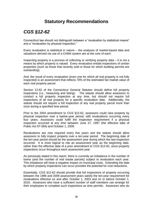#### **Statutory Recommendations**

## *CGS §12-62*

Connecticut law should not distinguish between a "revaluation by statistical means" and a "revaluation by physical inspection."

Every revaluation is statistical in nature – the analyses of market-based data and valuations derived via use of a CAMA system are at the core of each.

Inspecting property is a process of collecting or verifying property data – it is not a means by which property is valued. Every revaluation entails inspections of certain properties (such as those that recently sold or those for which building permits are outstanding).

And, the result of every revaluation (even one for which all real property is not fully inspected) is an assessment that reflects 70% of the estimated fair market value of each real property parcel.

Section 12-62 of the Connecticut General Statutes should define full property inspections (i.e., measuring and listing). The statute should allow assessors to conduct a full property inspection at any time, but should not require full inspections of all real property for a specific revaluation date. Additionally, the statute should not require a full inspection of any real property parcel more than once during a specified time period.

Prior to the 2004 amendment to CGS §12-62, assessors could view property by physical inspection over a twelve-year period, with revaluations occurring every four years. Assessors could fulfill the inspection requirement if a physical inspection occurred at any time between June 27, 1997 (the effective date of Public Act 97-284) and October 1, 2009.

Revaluations are now required every five years and the statute should allow assessors to fully inspect property over a ten-year period. The beginning date of the ten-year period should be the assessment year during which the last inspection occurred. It is more logical to cite an assessment year as the beginning date, rather than the effective date of a prior amendment to CGS §12-62, since property inspections occur throughout each assessment year.

As previously stated in this report, there is currently an imbalance in the number of towns (and the number of real estate parcels) subject to revaluation each year. This imbalance will have a negative impact on municipal costs. Extending the date by which property inspections can occur provides the potential for cost reductions.

Essentially, CGS §12-62 should provide that full inspections of property occurring between the 1996 and 2009 assessment years satisfy the ten-year requirement for revaluations effective on and after October 1, 2003 and on or before October 1, 2010. Assessors who have a sufficient number of staff members can arrange for their employees to complete such inspections as time permits. Assessors who do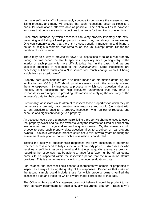not have sufficient staff will presumably continue to out-source the measuring and listing process, and many will provide that such inspections occur as close to a particular revaluation's effective date as possible. The option will exist, however, for towns that out-source such inspections to arrange for them to occur over time.

Since other methods by which assessors can verify property inventory data exist, measuring and listing all real property in a town may not always be necessary. One can certainly argue that there is no cost benefit in measuring and listing a house of religious worship that remains on the tax exempt grand list for the duration of its existence.

There may be a way to provide for fewer full inspections of taxable real property during the time period the statute specifies, especially since gaining entry to the interior of each property is more difficult today than in the past. And, as one assessor submitted in response to the *Questionnaire*: "Some inspections are necessary but how much can a 960 square foot ranch change without it being visible from an exterior view?"

Property data questionnaires are a valuable means of information gathering and verification and CGS §12-62 should provide assessors with the authority to send them to taxpayers. By instituting a process in which such questionnaires are routinely sent, assessors can help taxpayers understand that they have a responsibility with respect to providing information or verifying the accuracy of the assessor's data for their properties.

Presumably, assessors would attempt to inspect those properties for which they do not receive a property data questionnaire response and would (consistent with current practice) arrange for a property inspection when an owner requests one because of a significant change to a property.

An assessor could send a questionnaire listing a property's characteristics to every real property owner and ask the owner to verify the information listed or correct any inaccuracies, and to sign and return the questionnaire. Or, the assessor could choose to send such property data questionnaires to a subset of real property owners. This data verification process could occur over several years or during the assessment year prior to that in which a revaluation is conducted.

Testing the quality of questionnaire responses will allow assessors to determine whether there is a need to fully inspect all real property parcels. An assessor who receives a sufficient response level and institutes a quality assurance program regarding the responses may be able to arrange for a fewer number of real estate parcels to be inspected within the inspection period that the revaluation statute provides. This is another means by which to reduce revaluation costs.

For instance, the assessor could choose a representative sample of properties to inspect as a way of testing the quality of the responses. Properties that make up the testing sample could include those for which property owners verified the assessor's data and those for which owners made corrections to that data.

The Office of Policy and Management does not believe it would be prudent to set forth statutory parameters for such a quality assurance program. Each town's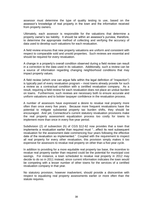assessor must determine the type of quality testing to use, based on the assessor's knowledge of real property in the town and the information received from property owners.

Ultimately, each assessor is responsible for the valuations that determine a property owner's tax liability. It should be within an assessor's purview, therefore, to determine the appropriate method of collecting and verifying the accuracy of data used to develop such valuations for each revaluation.

A field review ensures that new property valuations are uniform and consistent with respect to comparable sold and unsold properties. Such reviews are essential and should be required for every revaluation.

A change in a property's overall condition observed during a field review can result in a correction to the data used in its valuation. Additionally, such a review can be a source of information regarding changing neighborhood conditions that may impact property values.

A field review (which one can argue falls within the legal definition of "inspection") is typically part of every revaluation program – most towns already provide for such a review as a contractual condition with a certified revaluation company. As a result, requiring a field review for each revaluation does not place an undue burden on towns. Furthermore, such reviews are necessary both to ensure accurate and uniform valuations and to bolster taxpayer confidence in the revaluation process.

A number of assessors have expressed a desire to revalue real property more often than once every five years. Because more frequent revaluations have the potential to mitigate substantial property tax burden shifts, they should be encouraged. And yet, Connecticut's current statutory revaluation provisions make the real property assessment equalization process too costly for towns to implement more than once in every five-year period.

Subdivision (2) of subsection (h) of CGS §12-62 now provides that a town that implements a revaluation earlier than required must "…effect its next subsequent revaluation for the assessment date commencing four years following the effective date of the revaluation so implemented." Coupled with the requirement to inspect all real property for every other revaluation, this provision simply makes it too expensive for assessors to revalue real property on other than a five-year cycle.

In addition to providing for a more equitable real property tax base, the incentive to revalue real property earlier than required could be the potential for municipal cost savings. For instance, a town scheduled to revalue real property in 2012 may decide to do so in 2011 instead, since current information indicates the town would be competing with a lesser number of other towns for the services of a certified revaluation company in that year.

No statutory provision, however inadvertent, should provide a disincentive with respect to equalizing real property assessments earlier or more often than the statute requires.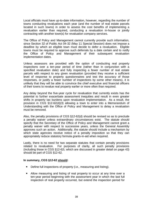Local officials must have up-to-date information, however, regarding the number of towns conducting revaluations each year (and the number of real estate parcels located in such towns) in order to assess the cost benefits of implementing a revaluation earlier than required, conducting a revaluation in-house or jointly contracting with another town(s) for revaluation company services.

The Office of Policy and Management cannot currently provide such information, since Section 32 of Public Act 04-32 (May 11 Special Session) does not impose a deadline by which an eligible town must decide to defer a revaluation. Eligible towns must be required to approve such deferrals by a date certain and to notify the Office of Policy and Management of their subsequent revaluation implementation dates.

Unless assessors are provided with the option of conducting real property inspections over a ten-year period of time (rather than in conjunction with a specified revaluation date) and fully inspecting a fewer number of real estate parcels with respect to any given revaluation (provided they receive a sufficient level of response to property questionnaires and test the accuracy of those responses, or justify a fewer number of inspections by some other means), it is unlikely that they will be able to convince the chief executive and financial officers of their towns to revalue real property earlier or more often than required.

Any delay beyond the five-year cycle for revaluation that currently exists has the potential to further exacerbate assessment inequities and result in even greater shifts in property tax burdens upon revaluation implementation. As a result, the provision in CGS §12-62(d)(3) allowing a town to enter into a Memorandum of Understanding with the Office of Policy and Management to delay a revaluation must be removed.

Also, the penalty provisions of CGS §12-62(d) should be revised so as to preclude a penalty waiver unless extraordinary circumstances exist. The statute should specify that the Secretary of the Office of Policy and Management cannot grant a penalty waiver with respect to successive years, unless the General Assembly approves such an action. Additionally, the statute should include a mechanism by which state agencies receive notice of a penalty imposition so that they can appropriately reduce statutory formula grants-in-aid when required.

Lastly, there is no need for two separate statutes that contain penalty provisions related to revaluation. For purposes of clarity, all such penalty provisions (including those in CGS §12-62i, which are discussed in greater detail on page 43) should be part of CGS §12-62.

#### **In summary, CGS §12-62 should:**

- Define full inspections of property (i.e., measuring and listing).
- Allow measuring and listing of real property to occur at any time over a ten-year period beginning with the assessment year in which the last full inspection of real property occurred, but extend the inspection period for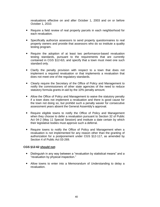revaluations effective on and after October 1, 2003 and on or before October 1, 2010.

- Require a field review of real property parcels in each neighborhood for each revaluation.
- Specifically authorize assessors to send property questionnaires to real property owners and provide that assessors who do so institute a quality testing program.
- Require the adoption of at least two performance-based revaluation testing standards, pursuant to the requirements that are currently contained in CGS §12-62i, and specify that a town must meet one such standard only.
- Clarify the penalty provision with respect to a town that does not implement a required revaluation or that implements a revaluation that does not meet one of the regulatory standards.
- Clearly require the Secretary of the Office of Policy and Management to notify the commissioners of other state agencies of the need to reduce statutory formula grants-in-aid by the 10% penalty amount.
- Allow the Office of Policy and Management to waive the statutory penalty if a town does not implement a revaluation and there is good cause for the town not doing so, but prohibit such a penalty wavier for consecutive assessment years absent the General Assembly's approval.
- Require eligible towns to notify the Office of Policy and Management when they choose to defer a revaluation pursuant to Section 32 of Public Act 04-2 (May 11 Special Session) and institute a date certain by which their legislative bodies must approve such a deferral.
- Require towns to notify the Office of Policy and Management when a revaluation is not implemented for any reason other than the granting of authorization for a postponement under CGS §12-117, as amended by Section 4 of Public Act 03-269.

#### **CGS §12-62 should not:**

- Distinguish in any way between a "revaluation by statistical means" and a "revaluation by physical inspection."
- Allow towns to enter into a Memorandum of Understanding to delay a revaluation.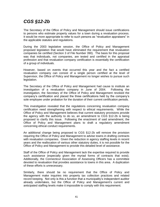## *CGS §12-2b*

The Secretary of the Office of Policy and Management should issue certifications to persons who estimate property values for a town during a revaluation process. It would be more appropriate to refer to such persons as "revaluation appraisers" in the applicable statutes and regulations.

During the 2003 legislative session, the Office of Policy and Management proposed legislation that would have eliminated the requirement that revaluation companies be certified (Section 3 of File Number 390). The basis for this proposal was that individuals, not companies, are tested and certified in the appraisal profession and that revaluation company certification is essentially the certification of a group of individuals.

However, based on events that occurred this year and the fact a certified revaluation company can consist of a single person certified at the level of Supervisor, the Office of Policy and Management no longer wishes to pursue such legislation.

The Secretary of the Office of Policy and Management had cause to institute an investigation of a revaluation company in June of 2004. Following the investigation, the Secretary of the Office of Policy and Management revoked the company's certification and placed the three certifications held by the company's sole employee under probation for the duration of their current certification periods.

This investigation revealed that the regulations concerning revaluation company certification need strengthening with respect to ethical requirements. While the Office of Policy and Management believes that current statutory provisions provide the agency with the authority to do so, an amendment to CGS §12-2b is being proposed to clarify this issue. Following the enactment of said amendment, the Office of Policy and Management plans to draft a regulatory amendment concerning ethical conduct requirements.

An additional change being proposed to CGS §12-2b will remove the provision requiring the Office of Policy and Management to advise towns in drafting contracts with revaluation companies. Given the reduction in agency staffing levels in recent years and the reallocation of various other statutory duties, it is not possible for the Office of Policy and Management to provide this detailed level of assistance.

Staff of the Office of Policy and Management lack the expertise required to provide such assistance (especially given the myriad forms of contracts that exist). Additionally, the Connecticut Association of Assessing Officers has a committee devoted to revaluation that provides assistance to towns in this area. A duplication of these efforts is unnecessary.

Similarly, there should be no requirement that the Office of Policy and Management make inquiries into property tax collection practices and related record keeping. Not only is this a function that a municipality's independent auditor already undertakes, but the Office of Policy and Management's current and anticipated staffing levels make it impossible to comply with this requirement.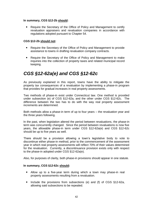#### **In summary, CGS §12-2b should:**

• Require the Secretary of the Office of Policy and Management to certify revaluation appraisers and revaluation companies in accordance with regulations adopted pursuant to Chapter 54.

#### **CGS §12-2b should not:**

- Require the Secretary of the Office of Policy and Management to provide assistance to towns in drafting revaluation company contracts.
- Require the Secretary of the Office of Policy and Management to make inquiries into the collection of property taxes and related municipal record keeping.

### *CGS §12-62a(e) and CGS §12-62c*

As previously explained in this report, towns have the ability to mitigate the property tax consequences of a revaluation by implementing a phase-in program that provides for gradual increases in real property assessments.

Two methods of phase-in exist under Connecticut law. One method is provided under subsection (e) of CGS §12-62a, and the other under CGS §12-62c. The difference between the two has to do with the way real property assessment increments are determined.

Both methods allow a phase-in term of up to four years – the revaluation year and the three years following.

In the past, when legislation altered the period between revaluations, the phase-in term was concurrently changed. Since the period between revaluations is now five years, the allowable phase-in term under CGS §12-62a(e) and CGS §12-62c should be up to five years as well.

There should be a provision allowing a town's legislative body to vote to discontinue either phase-in method, prior to the commencement of the assessment year in which real property assessments will reflect 70% of their values determined for the revaluation. Currently, a discontinuance provision exists only with respect to the phase-in adopted under CGS §12-62a(e).

Also, for purposes of clarity, both phase-in provisions should appear in one statute.

#### **In summary, CGS §12-62c should:**

- Allow up to a five-year term during which a town may phase-in real property assessments resulting from a revaluation.
- Include the provisions from subsections (e) and (f) of CGS §12-62a, allowing said subsections to be repealed.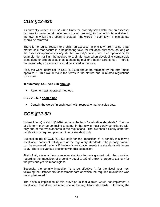## *CGS §12-63b*

As currently written, CGS §12-63b limits the property sales data that an assessor can use to value certain income-producing property, to that which is available in the town in which the property is located. The words "in such town" in this statute should be removed.

There is no logical reason to prohibit an assessor in one town from using a fair market sale that occurs in a neighboring town for valuation purposes, as long as the assessor appropriately adjusts the property's sale price. Fee appraisers, for example, do not limit themselves to a single town when developing comparable sales data for properties such as a shopping mall or a health care center. There is no reason why an assessor should be limited in this way.

Also, the word "appraisal" in CGS §12-63b should be replaced by the term "mass appraisal." This would make the terms in the statute and in related regulations consistent.

#### **In summary, CGS §12-63b should:**

• Refer to mass appraisal methods.

#### **CGS §12-63b should not:**

Contain the words "in such town" with respect to market sales data.

### *CGS §12-62i*

Subsection (a) of CGS §12-62i contains the term "revaluation standards." The use of this term may be confusing to some, in that towns must certify compliance with only one of the two standards in the regulations. The law should clearly state that certification is required pursuant to one standard only.

Subsection (b) of CGS §12-62i calls for the imposition of a penalty if a town's revaluation does not satisfy one of the regulatory standards. The penalty amount can be recovered, but only if the town's revaluation meets the standards within one year. There are various problems with this subsection.

First of all, since all towns receive statutory formula grants-in-aid, the provision regarding the imposition of a penalty equal to 3% of a town's property tax levy for the previous year is meaningless.

Secondly, the penalty imposition is to be effective "…for the fiscal year next following the October first assessment date on which the required revaluation was not implemented."

The obvious implication of this provision is that a town would not implement a revaluation that does not meet one of the regulatory standards. However, the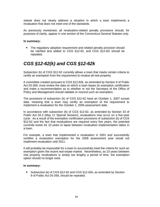statute does not clearly address a situation in which a town implements a revaluation that does not meet one of the standards.

As previously mentioned, all revaluation-related penalty provisions should, for purposes of clarity, appear in one section of the Connecticut General Statutes only.

#### **In summary:**

• The regulatory adoption requirement and related penalty provision should be clarified and added to CGS §12-62, and CGS §12-62i should be repealed.

## *CGS §12-62(k) and CGS §12-62k*

Subsection (k) of CGS §12-62 currently allows a town that meets certain criteria to certify an exemption from the requirement to revalue all real property.

A committee created pursuant to CGS §12-62k, as amended by Section 9 of Public Act 03-269, must review the data on which a town bases its exemption certification and make a recommendation as to whether or not the Secretary of the Office of Policy and Management should validate or rescind such an exemption.

The provisions of subsection (k) of CGS §12-62 have an October 1, 2007 sunset date, meaning that a town may certify an exemption of the requirement to implement a revaluation for the October 1, 2006 assessment date.

In accordance with subsection (b) of CGS §12-62, as amended by Section 33 of Public Act 04-2 (May 11 Special Session), revaluations now occur on a five-year cycle. As a result of the exemption certification provisions of subsection (k) of CGS §12-62 and the fact that revaluations are required every five years, the potential currently exists for 10 years to lapse between revaluation implementation dates in a town.

For example, a town that implemented a revaluation in 2001 and successfully certifies a revaluation exemption for the 2006 assessment year would not implement revaluation until 2011.

It will probably be impossible for a town to successfully meet the criteria for such an exemption given the recent real estate market. Nevertheless, as 10 years between real property revaluations is simply too lengthy a period of time, the exemption option should no longer exist.

#### **In summary:**

• Subsection (k) of CGS §12-62 and CGS §12-62k, as amended by Section 9 of Public Act 03-269, should be repealed.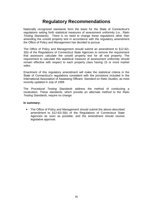#### **Regulatory Recommendations**

Nationally recognized standards form the basis for the State of Connecticut's regulations setting forth statistical measures of assessment uniformity (i.e., *Ratio Testing Standards*). There is no need to change these regulations other than amending the unsold property test in accordance with the regulatory amendment the Office of Policy and Management has decided to pursue.

The Office of Policy and Management should submit an amendment to §12-62i-3(b) of the Regulations of Connecticut State Agencies to remove the requirement that assessors calculate the unsold property test for all real property. The requirement to calculate this statistical measure of assessment uniformity should remain effective with respect to each property class having 15 or more market sales.

Enactment of this regulatory amendment will make the statistical criteria in the State of Connecticut's regulations consistent with the provisions included in the International Association of Assessing Officers' *Standard on Ratio Studies*, as most recently updated in July of 1999.

The *Procedural Testing Standards* address the method of conducting a revaluation. These standards, which provide an alternate method to the *Ratio Testing Standards*, require no change.

#### **In summary:**

• The Office of Policy and Management should submit the above-described amendment to §12-62i-3(b) of the Regulations of Connecticut State Agencies as soon as possible, and the amendment should receive legislative approval.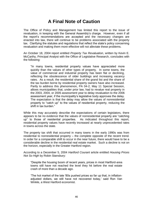#### **A Final Note of Caution**

The Office of Policy and Management has limited this report to the issue of revaluation, in keeping with the General Assembly's charge. However, even if all the report's recommendations are accepted and the necessary changes are enacted into law, there will continue to be problems associated with the property tax. Clarifying the statutes and regulations that reflect the state's policy concerning revaluation and making them more effective will not alleviate these problems.

An October 18, 2004 report entitled *Property Tax Revaluation*, written by Kevin E. McCarthy, Principal Analyst with the Office of Legislative Research, concludes with the following:

"In many towns, residential property values have appreciated more quickly than the values of other types of property. In some towns, the value of commercial and industrial property has been flat or declining, reflecting the obsolescence of older buildings and increasing vacancy rates. As a result, the residential share of the grand list and the share of the tax burden borne by residential property owners have also increased. Partly to address this phenomenon, PA 04-2, May 11 Special Session, allows municipalities that, under prior law, had to revalue real property in the 2003, 2004, or 2005 assessment year to delay revaluation to the 2006 assessment year, if the municipality's legislative body approves the delay. The expectation is that the delay may allow the values of nonresidential property to "catch up" to the values of residential property, reducing the shift in tax burden."

While this may accurately describe the expectations of certain legislators, there appears to be no evidence that the values of nonresidential property are "catching up" to those of residential properties. As indicated throughout this report, residential property values have recently increased at nearly unprecedented rates in towns across the state.

The property tax shift that occurred in many towns in the early 1990s was from residential to nonresidential property – the complete opposite of the recent trend. In order for a comparable shift to occur in the near future, there would have to be a considerable decline in the residential real estate market. Such a decline is not on the horizon, especially in the Greater Hartford region.

According to a December 5, 2004 *Hartford Courant* article entitled *Housing Prices Not So High* by Robin Stansbury:

"Despite the housing boom of recent years, prices in most Hartford-area towns still have not reached the level they hit before the real estate crash of more than a decade ago.

'The hot market of the late '80s pushed prices so far up that, in inflationadjusted dollars, we still have not recovered today,' said Ron Van Winkle, a West Hartford economist.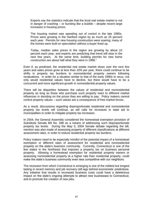Experts say the statistics indicate that the local real estate market is not in danger of crashing – or bursting like a bubble – despite recent large increases in housing prices.

The housing market was speeding out of control in the late 1980s. Prices were growing in the Hartford region by as much as 25 percent each year. Permits for new housing construction were soaring; many of the homes were built on speculation without a buyer lined up.

Today, median sales prices in the region are growing by about 10 percent each year, and experts are predicting that trend will slow in the next few years. At the same time, building permits for new home construction are about half what they were in 1988."

Even if, as predicted, the residential real estate market slows over the next few years and sales prices grow at less than 10% per year, there could continue to be shifts in property tax burdens to nonresidential property owners following revaluations. In order for a situation similar to that of the early 1990s to recur, not only would residential values have to decline, but there would have to be a concurrent and more significant growth in nonresidential property values.

There will be disparities between the values of residential and nonresidential property as long as those who purchase such property react to different market influences in deciding on the prices they are willing to pay. Policy makers cannot control property values – such values are a consequence of free market forces.

As a result, discussions regarding disproportionate residential and nonresidential property tax levels will continue, as will calls for increases in state aid to municipalities in order to mitigate property tax increases.

In 2004, the General Assembly considered the homestead exemption provision of Substitute Senate Bill No. 598 as a means of addressing such disproportionate property tax levels. During the May 3, 2004 Senate debate regarding the bill, mention was also made of assessing property of different classifications at different assessment rates, in order to reduce residential property tax burdens.

Policy makers need to be especially mindful of the potential impact of a homestead exemption or different rates of assessment for residential and nonresidential property on the state's business community. Currently, Connecticut is one of the few states in the Northeast that imposes a property tax on business personal property. Allowing a homestead exemption for residential property owners or assessing nonresidential property at a higher rate than residential property, could make the state's business community even less competitive with our neighbors.

The recession from which Connecticut is emerging is one of the mildest but longest lasting in recent memory and job recovery still lags behind economists' predictions. Any initiative that results in increased business costs could have a deleterious impact on the state's ongoing attempts to attract new businesses to Connecticut, and to promote the creation of new jobs.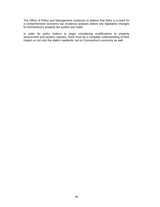The Office of Policy and Management continues to believe that there is a need for a comprehensive economic tax incidence analysis before any legislative changes to Connecticut's property tax system are made.

In order for policy makers to begin considering modifications to property assessment and taxation statutes, there must be a complete understanding of their impact on not only the state's residents, but on Connecticut's economy as well.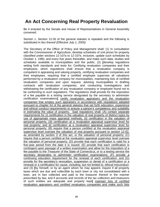### **An Act Concerning Real Property Revaluation**

Be it enacted by the Senate and House of Representatives in General Assembly convened:

Section 1. Section 12-2b of the general statutes is repealed and the following is substituted in lieu thereof *(Effective July 1, 2005):*

The Secretary of the Office of Policy and Management shall: (1) In consultation with the Commissioner of Agriculture, develop schedules of unit prices for property classified under sections 12-107a to 12-107e, inclusive, update such schedules by October 1, 1990, and every five years thereafter, and make such data, studies and schedules available to municipalities and the public; (2) **[**develop regulations setting forth standards and tests for: Certifying revaluation companies and their employees, which regulations shall ensure that a revaluation company is competent in appraising and valuing property, certifying revaluation companies and their employees, requiring that a certified employee supervise all valuations performed by a revaluation company for municipalities, maintaining lists of certified revaluation companies and upon request, advising municipalities in drafting contracts with revaluation companies, and conducting investigations and withdrawing the certification of any revaluation company or employee found not to be conforming to such regulations. The regulations shall provide for the imposition of a fee payable to a testing service designated by the secretary to administer certification examinations**]** certify revaluation appraisers and the revaluation companies that employ such appraisers in accordance with regulations adopted pursuant to chapter 54 of the general statutes that set forth education, experience and ethical conduct requirements to ensure a person's competency and suitability in estimating the value of property. Said regulations shall: (A) contain separate requirements for (i) certification in the valuation of real property of distinct types by use of appropriate mass appraisal methods, (ii) certification in the valuation of personal property, (iii) certification at a revaluation appraisal supervisor level for real property; and iii) certification at a revaluation appraisal supervisor level for personal property; (B) require that a person certified at the revaluation appraisal supervisor level oversee the valuation of real property pursuant to section 12-62, as amended by section 3 of this act, or the valuation of personal property; (C) require that a person certified at the revaluation appraisal supervisor level oversee the valuation of personal property; (D) provide that each certification is valid for a five-year period from the date it is issued; (E) provide that each certification is contingent upon passage of a written examination and allow for the imposition of a fee payable to the Treasurer of the State of Connecticut, or to a testing service the secretary designates to administer certification examinations; (F) provide a continuing education requirement for the renewal of each certification; and (G) provide for the secretary's revocation, suspension or denial of a certification or a renewal or a certification for cause, including, but not limited to, ethical misconduct; and (3) **[**by himself, or by an agent whom he may appoint, inquire if all property taxes which are due and collectible by each town or city not consolidated with a town, are in fact collected and paid to the treasurer thereof in the manner prescribed by law, and if accounts and records of the tax collectors and treasurers of such entities are adequate and properly kept**]** maintain lists of certified revaluation appraisers and certified revaluation companies and make such lists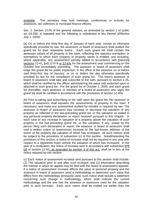available. The secretary may hold meetings, conferences or schools for assessors, tax collectors or municipal finance officers.

Sec. 2. Section 12-55 of the general statutes, as amended by section 1 of public act 03-269, is repealed and the following is substituted in lieu thereof *(Effective July 1, 2005):*

(a) On or before the thirty-first day of January of each year, except as otherwise specifically provided by law, the assessors or board of assessors shall publish the grand list for their respective towns. Each such grand list shall contain the assessed values of all property in the town, reflecting the statutory exemption or exemptions to which each property or property owner is entitled, and including, where applicable, any assessment penalty added in accordance with **[**section**]** sections 12-41, **[**or**]** 12-57a or 12-63c for the assessment year commencing on the October first immediately preceding. The assessor or board of assessors shall lodge the grand list for public inspection, in the office of the assessor on or before said thirty-first day of January, or on or before the day otherwise specifically provided by law for the completion of such grand list. The town's assessor or board of assessors shall take and subscribe to the oath, pursuant to section 1-25, which shall be certified by the officer administering the same and endorsed upon or attached to such grand list. For the grand list of October 1, 2000, and each grand list thereafter, each assessor or member of a board of assessors who signs the grand list shall be certified in accordance with the provisions of section 12-40a.

(b) Prior to taking and subscribing to the oath upon the grand list, the assessor or board of assessors shall equalize the assessments of property in the town, if necessary, and make any assessment omitted by mistake or required by law. The assessor or board of assessors may increase or decrease the valuation of any property as reflected in the last-preceding grand list, or the valuation as stated in any personal property declaration or report received pursuant to this chapter. In each case of any increase in valuation of a property above the valuation of such property in the last-preceding grand list, or the valuation, if any, stated by the person filing such declaration or report, the assessor or board of assessors shall mail a written notice of assessment increase to the last-known address of the owner of the property the valuation of which has increased. All such notices shall be subject to the provisions of subsection (c) of this section. Notwithstanding the provisions of this section, a notice of increase shall not be required in any year with respect to a registered motor vehicle the valuation of which has increased. In the year of a revaluation, the notice of increase sent in accordance with subsection **[**(f)**]**  (d) of section 12-62, as amended by section 3 of this act, shall be in lieu of the notice required by this section.

(c) Each notice of assessment increase sent pursuant to this section shall include: (1) The valuation prior to and after such increase; and (2) information describing the manner in which an appeal may be filed with the board of assessment appeals. If a notice of assessment increase affects the value of personal property and the assessor or board of assessors used a methodology to determine such value that differs from the methodology previously used, such notice shall include a statement concerning such change in methodology, which shall indicate the current methodology and the one that the assessor or assessors used for the valuation prior to such increase. Each such notice shall be mailed not earlier than the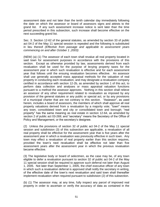assessment date and not later than the tenth calendar day immediately following the date on which the assessor or board of assessors signs and attests to the grand list. If any such assessment increase notice is sent later than the time period prescribed in this subsection, such increase shall become effective on the next succeeding grand list.

Sec. 3. Section 12-62 of the general statutes, as amended by section 33 of public act 04-2 of the May 11 special session is repealed and the following is substituted in lieu thereof *(Effective from passage and applicable to assessment years commencing on and after October 1 ,2003)*:

(NEW) (a) (1) The assessor of each town shall revalue all real property located in said town for assessment purposes in accordance with the provisions of this section. Except as otherwise provided by law, assessments derived from each revaluation shall be used for the purpose of levying property taxes for the assessment year in which such revaluation is effective and for each assessment year that follows until the ensuing revaluation becomes effective. An assessor shall use generally accepted mass appraisal methods for the valuation of real property in conducting each revaluation, and may designate a revaluation company certified in accordance with section 12-2b, as amended by section 1 of this act, to perform data collection and analyses or mass appraisal valuation functions pursuant to a method the assessor approves. Nothing in this section shall relieve an assessor of any other requirement related to revaluation as imposed by any provision of the general statutes or any public or special act, or by any provisions of a municipal charter that are not contrary to this section. "Assessor", as used herein, includes a board of assessors, the members of which shall approve all real property valuations derived from a revaluation by a majority vote; "town" means any town, consolidated town and city or consolidated town and borough; "real property" has the same meaning as real estate in section 12-64, as amended by section 2 of public act 03-269; and "secretary" means the Secretary of the Office of Policy and Management, or the secretary's designee.

(2) Unless the provisions of section 32 of public act 04-2 of the May 11 special session and subdivision (3) of this subsection are applicable, a revaluation of all real property shall be effective for the assessment year that is five years after the assessment year in which a revaluation was previously effective in such town. Any town may effect a revaluation of real property earlier than this section requires, provided the town's next revaluation shall be effective not later than five assessment years after the assessment year in which the previous revaluation became effective.

(3) The legislative body or board of selectmen, as the case may be, of any town eligible to defer a revaluation pursuant to section 32 of public act 04-2 of the May 11 special session shall be required to approve such deferral not later than August 1, 2005. Not later than September 1, 2005, the chief executive officer of any town in which such a revaluation deferral is approved shall notify the secretary in writing, of the effective date of the town's next revaluation and said town shall thereafter implement revaluation when required pursuant to subdivision (2) of this subsection.

(b) (1) The assessor may, at any time, fully inspect any parcel of improved real property in order to ascertain or verify the accuracy of data as contained in the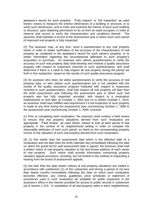assessor's record for such property. "Fully inspect" or "full inspection" as used herein, means to measure the exterior dimensions of a building or structure, or to verify such dimensions, and to enter and examine the interior of each such building or structure, upon obtaining permission to do so from an adult occupant, in order to observe and record or verify the characteristics and conditions thereof. The assessor shall maintain a record of the assessment year in which each such parcel of improved real property is fully inspected.

(2) The assessor may, at any time, send a questionnaire to any real property owner in order to obtain verification of the accuracy of the characteristics of real property as contained in the assessor's record for such owner's property, or to obtain information regarding the circumstances attendant to such property's acquisition or purchase. An assessor who utilizes questionnaires to verify the accuracy of such real property data shall develop and institute a quality assurance program with respect to responses received to such questionnaires, and shall determine if there is a need to fully inspect all real property during the period set forth in this subsection, based on the results of such quality assurance program.

(3) An assessor who does not utilize questionnaires to verify the accuracy of real property data, or who utilizes such questionnaires but is not satisfied with the results of the quality assurance program instituted with respect to responses received to such questionnaires, shall fully inspect all real property not later than the tenth assessment year following the assessment year in which such real property was last fully inspected, provided, with respect to a revaluation implemented on and after an October 1, 2003 and on or before October 1, 2010, an assessor shall have fulfilled said requirement if a full inspection of such property is made at any time during the assessment year commencing October 1, 1996 to the assessment year commencing October 1, 2009, inclusive.

(c) Prior to completing each revaluation, the assessor shall conduct a field review to ensure that real property valuations derived from such revaluation are appropriate. "Field review", as used herein, means to look at each parcel of real property in the context of its neighborhood setting in order to compare the observable attributes of each such parcel, as listed on the corresponding property record, to the valuation of such real property derived from such revaluation.

(d) (1) Not earlier than the assessment date which is the effective date of a revaluation and not later than the tenth calendar day immediately following the date on which the grand list for said assessment date is signed, the assessor shall mail a written notice of real property valuation to the last-known address of each owner of real property. Such notice shall provide information concerning property valuation appeal provisions, including, but not limited to the method of requesting a hearing from the board of assessment appeals.

(2) Not later than the date written notices of real property valuations are mailed in accordance with subdivision (1) of this subsection and during a period of not less than twelve months immediately following the date on which each revaluation becomes effective, any criteria, guidelines, price schedules or statement of procedures used in such revaluation be available for public inspection in the assessor's office in the manner provided for access to public records in subsection (a) of section 1-210. A compilation of all real property sales in each neighborhood,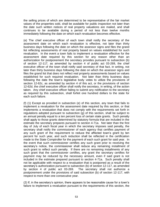the selling prices of which are determined to be representative of the fair market values of the properties sold, shall be available for public inspection not later than the date such written notices of real property valuations are mailed, and shall continues to be available during a period of not less than twelve months immediately following the date on which each revaluation becomes effective.

(e) The chief executive officer of each town shall notify the secretary of the assessment date on which each revaluation is effective, not later than thirty business days following the date on which the assessor signs and files the grand list reflecting assessments of real property based on values established for such revaluation. In the event a town fails to implement a revaluation effective for the assessment date required by this section for any reason other than an authorization for postponement the secretary provides pursuant to subsection (b) of section 12-117, as amended by section 4 of public act 03-269, the chief executive officer of the town shall notify said secretary of that fact, in writing, not later than thirty business days following the date on which the assessor signs and files the grand list that does not reflect real property assessments based on values established for such required revaluation. Not later than thirty business days following the date the town's legislative body votes to utilize the provisions of section 12-62c, as amended by section 4 of this act, or the provisions of section 12-62d, the chief executive officer shall notify the secretary, in writing, of the action taken. Any chief executive officer failing to submit any notification to the secretary as required by this subsection, shall forfeit one hundred dollars to the state for each such failure.

(f) (1) Except as provided in subsection (e) of this section, any town that fails to implement a revaluation for the assessment date required by this section, or that implements a revaluation that does not comply with the requirements set forth in regulations adopted pursuant to subsection (g) of this section, shall be subject to an annual penalty equal to a ten percent loss of certain state grants. Such penalty shall apply to those grants determined by statutory formula that are included in the estimate the secretary prepares pursuant to section 4-71a. Not later than the first day of July of each fiscal year in which the secretary imposes said penalty, the secretary shall notify the commissioner of each agency that certifies payment of any such grant of the requirement to reduce the affected town's grant by ten percent for such year, and such reduction shall be reflected in the certification made to the State Comptroller for the payment of each such grant for said year. In the event that such commissioner certifies any such grant prior to receiving the secretary's notice, the commissioner shall reduce any remaining installment of such grant to reflect such penalty. If there are no remaining installments of any such grant that the commissioner certifies, any grant the secretary certifies for payment may be reduced by the necessary amount, even if said grant is not included in the estimate prepared pursuant to section 4-71a. Such penalty shall not be applicable with respect to a revaluation that is postponed as a result of the secretary's authorization pursuant to subsection (b) of section 12-117, as amended by section 4 of public act 03-269. The secretary shall not authorize a postponement under the provisions of said subsection (b) of section 12-117, with respect to more than one consecutive year.

(2) If, in the secretary's opinion, there appears to be reasonable cause for a town's failure to implement a revaluation pursuant to the requirements of this section, the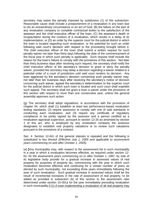secretary may waive the penalty imposed by subdivision (1) of this subsection. Reasonable cause shall include a postponement of a revaluation in any town due to (A) an extraordinary circumstance or an act of God, (B) the failure on the part of any revaluation company to complete contractual duties to the satisfaction of the assessor and the chief executive officer of the town, (C) the assessor's death or incapacitation during the conduct of a revaluation, which results in a delay of its implementation, or (D) an order by the superior court for the judicial district in which the town is located regarding such revaluation, or the potential for such an order following said court's decision with respect to the proceeding brought before it. The chief executive officer of the town shall submit a written request for such penalty waiver not later than thirty days following the date of the commencement of the fiscal year in which such penalty is applicable. Such request shall include the reason for the town's failure to comply with the provisions of this section. Not later than thirty business days after receiving such request, the secretary shall notify the chief executive officer of the secretary's decision to grant or deny the penalty waiver, provided the secretary may delay a decision regarding a waiver related to a potential order of a court of jurisdiction until said court renders its decision. Any town aggrieved by the secretary's decision concerning such penalty waiver may, not later than ten business days after receiving the secretary's notice of decision concerning such waiver, appeal the secretary's determination to the superior court for the judicial district in which such town is located and such court shall expedite such appeal. The secretary shall not grant a town a waiver under the provisions of this section with respect to more than one consecutive year, unless the general assembly approves such action.

(g) The secretary shall adopt regulations, in accordance with the provisions of chapter 54, which shall (1) establish at least two performance-based revaluation testing standards; (2) require assessors to comply with one of said standards in conducting each revaluation, and (3) require any certificate of regulatory compliance to be jointly signed by the assessor and a person certified as a revaluation appraisal supervisor, pursuant to section 12-2b as amended by section 1 of this act, who is employed by any revaluation company the assessor designates to establish real property valuations or to review such valuations pursuant to the provisions of a contract.

Sec. 4. Section 12-62c of the general statutes is repealed and the following is substituted in lieu thereof *(Effective July 1, 2005 and applicable to assessment years commencing on and after October 1, 2005):*

(a) **[**Any municipality may, with respect to the assessment list in such municipality in a year in which a revaluation becomes effective, as required under section 12- 62, for the assessment years commencing on or after October 1, 1987, by vote of its legislative body provide for a gradual increase in assessed values of real property for purposes of property tax, commencing with the year in which such revaluation becomes effective and continuing for a certain number of years as elected by such municipality, not exceeding three years immediately following the year of such revaluation. Such gradual increase in assessed values shall be the result of incremental increases in the rate of assessment of real property, to be added as provided in subsection (b) of this section to the assessment ratio determined under section 10-261a for the year immediately preceding revaluation in such municipality.**]** (1) A town implementing a revaluation of all real property may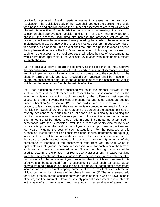provide for a phase-in of real property assessment increases resulting from such revaluation. The legislative body of the town shall approve the decision to provide for a phase-in and shall determine the number of assessment years for which such phase-in is effective. If the legislative body is a town meeting, the board of selectmen shall approve such decision and term. In any town that provides for a phase-in, the assessor shall gradually increase the assessed values of real property effective in the assessment year preceding that in which the revaluation is implemented, in accordance with one of the methods set forth in subsection (b) of this section, as amended. In no event shall the term of a phase-in extend beyond the implementation date of the town's next revaluation. Following the conclusion of such term, the assessment of real property shall reflect the rate of assessment that would have been applicable in the year said revaluation was implemented, except for such phase-in.

(2) The legislative body or board of selectmen, as the case may be, may approve the discontinuance of a phase-in of real property assessment increases resulting from the implementation of a revaluation, at any time prior to the completion of the phase-in term originally approved, provided such approval shall be made on or before the assessment date that is the commencement of the assessment year in which the discontinuance of such phase-in is effective.

(b) **[**Upon electing to increase assessed values in the manner allowed in this section, there shall be determined, with respect to said assessment ratio for the year immediately preceding such revaluation, the difference between the assessment rate at seventy per cent of present true and actual value, as required under subsection (b) of section 12-62a, and said ratio of assessed value of real property to fair market value in the year immediately preceding revaluation for such municipality. Such difference shall represent the portion of the assessment rate at seventy per cent to be added to said ratio for such municipality in attaining the required assessment rate of seventy per cent of present true and actual value. Such amount shall be added to said ratio in equal increments, as determined in accordance with this subsection, over the number of years elected by such municipality, provided the total number of years for such purpose may not exceed four years including the year of such revaluation. For the purposes of this subsection, increments shall be considered equal if such increments are equal (1) in terms of the absolute amount of the increase in the assessment ratio for each of the years of such gradual increase in assessed value or (2) in terms of the percentage of increase in the assessment ratio from year to year which is applicable to such gradual increase in assessed value, for each year of the term of such gradual increase in assessed value.**]** One of the following methods shall be used to determine the phase-in of real property assessment increases resulting from the implementation of a revaluation: (1) The assessment of each parcel of real property for the assessment year preceding that in which such revaluation is effective shall be subtracted from the assessment of each such real estate parcel derived from said revaluation, and the annual amount of incremental assessment increase for each such real property parcel shall be the result of such subtraction divided by the number of years of the phase-in term; or (2) The assessment ratio for all real property for the assessment year preceding that in which a revaluation is effective, shall be subtracted from the seventy percent assessment ratio applicable in the year of such revaluation, and the annual incremental rate of assessment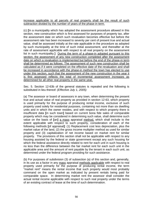increase applicable to all parcels of real property shall be the result of such subtraction divided by the number of years of the phase-in term.

(c) **[**In a municipality which has adopted the assessment procedure allowed in this section, new construction which is first assessed for purposes of property tax, after the assessment date on which such revaluation becomes effective but before the assessment rate has been increased to seventy per cent of present true and actual value, shall be assessed initially at the rate applicable in the procedure as adopted by such municipality at the time of such initial assessment, and thereafter at the rate of assessment applicable with respect to all real property on the assessment list in such municipality.**]** During the term of a phase-in adopted pursuant to this section, the assessment of any new construction completed after the assessment date on which a revaluation is implemented but before the end of the phase-in term shall be determined as follows: The assessment of such new construction shall be calculated as if it were completed on the effective date of the revaluation and shall be increased in accordance with the phase-in method the town has elected to use under this section, such that the assessment of the new construction in the year it is first assessed reflects the total of incremental assessment increases as determined for all other real property in the same year.

Sec. 5. Section 12-63b of the general statutes is repealed and the following is substituted in lieu thereof*: (Effective July 1, 2005):*

(a) The assessor or board of assessors in any town, when determining the present true and actual value of real property as provided in section 12-63, which property is used primarily for the purpose of producing rental income, exclusive of such property used solely for residential purposes, containing not more than six dwelling units and in which the owner resides, and with respect to which property there is insufficient data **[**in such town**]** based on current bona fide sales of comparable property which may be considered in determining such value, shall determine such value on the basis of **[**an**]** a mass appraisal method, which shall include to the extent applicable with respect to such property, consideration of each of the following methods **[**of appraisal**]**: (1) Replacement cost less depreciation, plus the market value of the land, (2) the gross income multiplier method as used for similar property and (3) capitalization of net income based on market rent for similar property. The provisions of this section shall not be applicable with respect to any housing assisted by the federal or state government except any such housing for which the federal assistance directly related to rent for each unit in such housing is no less than the difference between the fair market rent for each such unit in the applicable area and the amount of rent payable by the tenant in each such unit, as determined under the federal program providing for such assistance.

(b) For purposes of subdivision (3) of subsection (a) of this section and, generally, in its use as a factor in any mass appraisal methods applicable with respect to real property used primarily for the purpose of producing rental income, the term "market rent" means the rental income that such property would most probably command on the open market as indicated by present rentals being paid for comparable space. In determining market rent the assessor shall consider the actual rental income applicable with respect to such real property under the terms of an existing contract of lease at the time of such determination.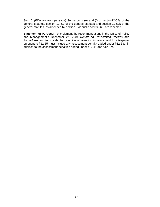Sec. 6. *(Effective from passage)* Subsections (e) and (f) of section12-62a of the general statutes, section 12-61i of the general statutes and section 12-62k of the general statutes, as amended by section 9 of public act 03-269, are repealed.

**Statement of Purpose:** To implement the recommendations in the Office of Policy and Management's December 27, 2004 *Report on Revaluation Policies and Procedures* and to provide that a notice of valuation increase sent to a taxpayer pursuant to §12-55 must include any assessment penalty added under §12-63c, in addition to the assessment penalties added under §12-41 and §12-57a.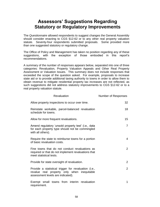#### **Assessors' Suggestions Regarding Statutory or Regulatory Improvements**

The *Questionnaire* allowed respondents to suggest changes the General Assembly should consider enacting to CGS §12-62 or to any other real property valuation statute. Seventy-four respondents submitted proposals. Some provided more than one suggested statutory or regulatory change.

The Office of Policy and Management has taken no position regarding any of these suggestions, with the exception of those embodied in this report's recommendations.

A summary of the number of responses appears below, separated into one of three categories: Revaluation, Property Valuation Appeals and Other Real Property Assessment or Valuation Issues. This summary does not include responses that exceeded the scope of the question asked. For example, proposals to increase state aid or to provide additional taxing authority to towns in order to allow them to obtain revenue to mitigate residential property tax increases are not reflected, as such suggestions did not address statutory improvements to CGS §12-62 or to a real property valuation statute.

| Revaluation                                                                                                                              | Number of Responses |
|------------------------------------------------------------------------------------------------------------------------------------------|---------------------|
| Allow property inspections to occur over time.                                                                                           | 32                  |
| Reinstate workable, parcel-balanced revaluation<br>schedule for towns.                                                                   | 18                  |
| Allow for more frequent revaluations.                                                                                                    | 15 <sup>15</sup>    |
| Amend regulatory 'unsold property test' (i.e., data<br>for each property type should not be commingled<br>with all others).              | $\overline{7}$      |
| Require the state to reimburse towns for a portion<br>of basic revaluation costs.                                                        | 4                   |
| Fine towns that do not conduct revaluations as<br>required or that do not implement revaluations that<br>meet statistical tests.         | $\overline{2}$      |
| Provide for state oversight of revaluation.                                                                                              | $\overline{2}$      |
| Provide a statistical trigger for revaluation (i.e.,<br>revalue real property only when inequitable<br>assessment levels are indicated). | 2                   |
| Exempt small towns from interim revaluation<br>requirement.                                                                              | 1                   |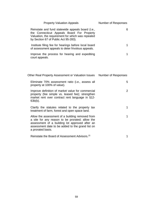| <b>Property Valuation Appeals</b>                                                                                                                                                                                             | Number of Responses |
|-------------------------------------------------------------------------------------------------------------------------------------------------------------------------------------------------------------------------------|---------------------|
| Reinstate and fund statewide appeals board (i.e.,<br>the Connecticut Appeals Board For Property<br>Valuation, the requirement for which was repealed<br>by Section 67 of Public Act 95-283).                                  | 6                   |
| Institute filing fee for hearings before local board<br>of assessment appeals to deter frivolous appeals.                                                                                                                     | 1                   |
| Improve the process for hearing and expediting<br>court appeals.                                                                                                                                                              | 1                   |
| Other Real Property Assessment or Valuation Issues                                                                                                                                                                            | Number of Responses |
| Eliminate 70% assessment ratio (i.e., assess all<br>property at 100% of value).                                                                                                                                               | 5                   |
| Improve definition of market value for commercial<br>property (fee simple vs. leased fee); strengthen<br>market rent over contract rent language in §12-<br>$63b(b)$ .                                                        | $\overline{2}$      |
| Clarify the statutes related to the property tax<br>treatment of farm, forest and open space land.                                                                                                                            | 1                   |
| Allow the assessment of a building removed from<br>a site for any reason to be prorated; allow the<br>assessment of a building lot approved after an<br>assessment date to be added to the grand list on<br>a prorated basis. | 1                   |
| Reinstate the Board of Assessment Advisors. <sup>15</sup>                                                                                                                                                                     | 1                   |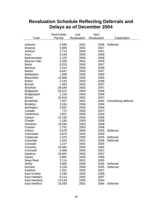## **Revaluation Schedule Reflecting Deferrals and Delays as of December 2004**

|                      | <b>Real Estate</b> | Last        | <b>Next</b> |                      |
|----------------------|--------------------|-------------|-------------|----------------------|
| Town                 | Parcels            | Revaluation | Revaluation | Explanation          |
|                      |                    |             |             |                      |
| Andover              | 4,289              | 2001        | 2006        | Deferred             |
| Ansonia              | 5,696              | 2002        | 2007        |                      |
| Ashford              | 2,714              | 2002        | 2007        |                      |
| Avon                 | 5,249              | 2003        | 2008        |                      |
| Barkhamsted          | 2,122              | 2003        | 2008        |                      |
| <b>Beacon Falls</b>  | 2,336              | 2001        | 2005        |                      |
| <b>Berlin</b>        | 8,015              | 2002        | 2007        |                      |
| <b>Bethany</b>       | 2,515              | 2003        | 2008        |                      |
| <b>Bethel</b>        | 6,647              | 2002        | 2007        |                      |
| <b>Bethlehem</b>     | 1,999              | 2003        | 2008        |                      |
| <b>Bloomfield</b>    | 12,868             | 2000        | 2004        |                      |
| <b>Bolton</b>        | 2,182              | 2003        | 2008        |                      |
| <b>Bozrah</b>        | 1,463              | 2002        | 2007        |                      |
| <b>Branford</b>      | 28,049             | 2002        | 2007        |                      |
| <b>Bridgeport</b>    | 32,674             | 2003        | 2008        |                      |
| <b>Bridgewater</b>   | 1,155              | 2003        | 2008        |                      |
| <b>Bristol</b>       | 20,818             | 2002        | 2007        |                      |
| <b>Brookfield</b>    | 7,057              | 2001        | 2005        | Considering deferral |
| <b>Brooklyn</b>      | 3,245              | 2000        | 2004        |                      |
| <b>Burlington</b>    | 3,597              | 2003        | 2008        |                      |
| Canaan               | 772                | 2002        | 2007        |                      |
| Canterbury           | 2,801              | 2000        | 2004        |                      |
| Canton               | 10,150             | 2003        | 2008        |                      |
| Chaplin              | 1,194              | 2003        | 2008        |                      |
| Cheshire             | 10,256             | 2003        | 2008        |                      |
| Chester              | 1,731              | 2003        | 2008        |                      |
| Clinton              | 6,678              | 2000        | 2005        | Deferred             |
| Colchester           | 5,879              | 2001        | 2005        |                      |
| Colebrook            | 1,075              | 2000        | 2005        | Deferred             |
| Columbia             | 2,504              | 2001        | 2006        | Deferred             |
| Cornwall             | 1,227              | 2001        | 2005        |                      |
| Coventry             | 15,942             | 2000        | 2004        |                      |
| Cromwell             | 5,469              | 2002        | 2007        |                      |
| Danbury              | 24,605             | 2002        | 2007        |                      |
| Darien               | 6,991              | 2003        | 2008        |                      |
| Deep River           | 2,114              | 2001        | 2005        |                      |
| Derby                | 4,885              | 2000        | 2005        | Deferred             |
| Durham               | 3,226              | 2000        | 2005        | Deferred             |
| Eastford             | 1,251              | 2002        | 2007        |                      |
| East Granby          | 2,249              | 2003        | 2008        |                      |
| East Haddam          | 6,113              | 2002        | 2007        |                      |
| East Hampton         | 13,128             | 2000        | 2004        |                      |
| <b>East Hartford</b> | 16,030             | 2001        | 2006        | Deferred             |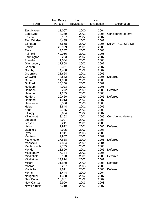| Revaluation<br>Revaluation<br>Town<br>Parcels<br>Explanation<br>2000<br>2004<br>East Haven<br>11,007<br>2001<br>8,359<br>2005<br>East Lyme<br>Considering deferral<br>3,197<br>2002<br>2007<br>Easton<br>East Windsor<br>4,485<br>2002<br>2007<br>5,558<br>2000<br>2005<br>Ellington<br>Delay $-$ §12-62(d)(3)<br>23,959<br>Enfield<br>2001<br>2005<br><b>Essex</b><br>3,347<br>2003<br>2008<br>Fairfield<br>49,056<br>2001<br>2005<br>Farmington<br>10,203<br>2002<br>2007<br>Franklin<br>1,084<br>2003<br>2008<br>17,808<br>2002<br>2007<br>Glastonbury<br>2007<br>2,361<br>2002<br>Goshen<br>2007<br>4,488<br>2002<br>Granby<br>Greenwich<br>21,624<br>2001<br>2005<br>4,882<br>Griswold<br>2001<br>2006<br>Deferred<br>11,930<br>2001<br>2005<br>Groton<br>Guilford<br>10,150<br>2002<br>2007<br>Haddam<br>4,023<br>2001<br>2005<br>2000<br>Hamden<br>19,272<br>2005<br>Deferred<br>1,235<br>2003<br>2008<br>Hampton<br>Hartford<br>20,460<br>1999<br>2006<br>Deferred<br>Hartland<br>2002<br>2007<br>1,013<br>3,506<br>2003<br>2008<br>Harwinton |  |
|-------------------------------------------------------------------------------------------------------------------------------------------------------------------------------------------------------------------------------------------------------------------------------------------------------------------------------------------------------------------------------------------------------------------------------------------------------------------------------------------------------------------------------------------------------------------------------------------------------------------------------------------------------------------------------------------------------------------------------------------------------------------------------------------------------------------------------------------------------------------------------------------------------------------------------------------------------------------------------------------------------------------------------------------------------|--|
|                                                                                                                                                                                                                                                                                                                                                                                                                                                                                                                                                                                                                                                                                                                                                                                                                                                                                                                                                                                                                                                       |  |
|                                                                                                                                                                                                                                                                                                                                                                                                                                                                                                                                                                                                                                                                                                                                                                                                                                                                                                                                                                                                                                                       |  |
|                                                                                                                                                                                                                                                                                                                                                                                                                                                                                                                                                                                                                                                                                                                                                                                                                                                                                                                                                                                                                                                       |  |
|                                                                                                                                                                                                                                                                                                                                                                                                                                                                                                                                                                                                                                                                                                                                                                                                                                                                                                                                                                                                                                                       |  |
|                                                                                                                                                                                                                                                                                                                                                                                                                                                                                                                                                                                                                                                                                                                                                                                                                                                                                                                                                                                                                                                       |  |
|                                                                                                                                                                                                                                                                                                                                                                                                                                                                                                                                                                                                                                                                                                                                                                                                                                                                                                                                                                                                                                                       |  |
|                                                                                                                                                                                                                                                                                                                                                                                                                                                                                                                                                                                                                                                                                                                                                                                                                                                                                                                                                                                                                                                       |  |
|                                                                                                                                                                                                                                                                                                                                                                                                                                                                                                                                                                                                                                                                                                                                                                                                                                                                                                                                                                                                                                                       |  |
|                                                                                                                                                                                                                                                                                                                                                                                                                                                                                                                                                                                                                                                                                                                                                                                                                                                                                                                                                                                                                                                       |  |
|                                                                                                                                                                                                                                                                                                                                                                                                                                                                                                                                                                                                                                                                                                                                                                                                                                                                                                                                                                                                                                                       |  |
|                                                                                                                                                                                                                                                                                                                                                                                                                                                                                                                                                                                                                                                                                                                                                                                                                                                                                                                                                                                                                                                       |  |
|                                                                                                                                                                                                                                                                                                                                                                                                                                                                                                                                                                                                                                                                                                                                                                                                                                                                                                                                                                                                                                                       |  |
|                                                                                                                                                                                                                                                                                                                                                                                                                                                                                                                                                                                                                                                                                                                                                                                                                                                                                                                                                                                                                                                       |  |
|                                                                                                                                                                                                                                                                                                                                                                                                                                                                                                                                                                                                                                                                                                                                                                                                                                                                                                                                                                                                                                                       |  |
|                                                                                                                                                                                                                                                                                                                                                                                                                                                                                                                                                                                                                                                                                                                                                                                                                                                                                                                                                                                                                                                       |  |
|                                                                                                                                                                                                                                                                                                                                                                                                                                                                                                                                                                                                                                                                                                                                                                                                                                                                                                                                                                                                                                                       |  |
|                                                                                                                                                                                                                                                                                                                                                                                                                                                                                                                                                                                                                                                                                                                                                                                                                                                                                                                                                                                                                                                       |  |
|                                                                                                                                                                                                                                                                                                                                                                                                                                                                                                                                                                                                                                                                                                                                                                                                                                                                                                                                                                                                                                                       |  |
|                                                                                                                                                                                                                                                                                                                                                                                                                                                                                                                                                                                                                                                                                                                                                                                                                                                                                                                                                                                                                                                       |  |
|                                                                                                                                                                                                                                                                                                                                                                                                                                                                                                                                                                                                                                                                                                                                                                                                                                                                                                                                                                                                                                                       |  |
|                                                                                                                                                                                                                                                                                                                                                                                                                                                                                                                                                                                                                                                                                                                                                                                                                                                                                                                                                                                                                                                       |  |
|                                                                                                                                                                                                                                                                                                                                                                                                                                                                                                                                                                                                                                                                                                                                                                                                                                                                                                                                                                                                                                                       |  |
|                                                                                                                                                                                                                                                                                                                                                                                                                                                                                                                                                                                                                                                                                                                                                                                                                                                                                                                                                                                                                                                       |  |
|                                                                                                                                                                                                                                                                                                                                                                                                                                                                                                                                                                                                                                                                                                                                                                                                                                                                                                                                                                                                                                                       |  |
|                                                                                                                                                                                                                                                                                                                                                                                                                                                                                                                                                                                                                                                                                                                                                                                                                                                                                                                                                                                                                                                       |  |
|                                                                                                                                                                                                                                                                                                                                                                                                                                                                                                                                                                                                                                                                                                                                                                                                                                                                                                                                                                                                                                                       |  |
| 3,844<br>2001<br>2005<br>Hebron                                                                                                                                                                                                                                                                                                                                                                                                                                                                                                                                                                                                                                                                                                                                                                                                                                                                                                                                                                                                                       |  |
| Kent<br>2,155<br>2003<br>2008                                                                                                                                                                                                                                                                                                                                                                                                                                                                                                                                                                                                                                                                                                                                                                                                                                                                                                                                                                                                                         |  |
| Killingly<br>6,624<br>2002<br>2007                                                                                                                                                                                                                                                                                                                                                                                                                                                                                                                                                                                                                                                                                                                                                                                                                                                                                                                                                                                                                    |  |
| 3,162<br>2001<br>2005<br>Killingworth<br>Considering deferral                                                                                                                                                                                                                                                                                                                                                                                                                                                                                                                                                                                                                                                                                                                                                                                                                                                                                                                                                                                         |  |
| Lebanon<br>4,097<br>2003<br>2008                                                                                                                                                                                                                                                                                                                                                                                                                                                                                                                                                                                                                                                                                                                                                                                                                                                                                                                                                                                                                      |  |
| Ledyard<br>6,211<br>2001<br>2005                                                                                                                                                                                                                                                                                                                                                                                                                                                                                                                                                                                                                                                                                                                                                                                                                                                                                                                                                                                                                      |  |
| Deferred<br>Lisbon<br>1,972<br>2001<br>2006                                                                                                                                                                                                                                                                                                                                                                                                                                                                                                                                                                                                                                                                                                                                                                                                                                                                                                                                                                                                           |  |
| Litchfield<br>4,905<br>2003<br>2008                                                                                                                                                                                                                                                                                                                                                                                                                                                                                                                                                                                                                                                                                                                                                                                                                                                                                                                                                                                                                   |  |
| 1,911<br>2003<br>2008<br>Lyme                                                                                                                                                                                                                                                                                                                                                                                                                                                                                                                                                                                                                                                                                                                                                                                                                                                                                                                                                                                                                         |  |
| Madison<br>7,967<br>2002<br>2007                                                                                                                                                                                                                                                                                                                                                                                                                                                                                                                                                                                                                                                                                                                                                                                                                                                                                                                                                                                                                      |  |
| Manchester<br>17,638<br>2000<br>2006<br>Deferred                                                                                                                                                                                                                                                                                                                                                                                                                                                                                                                                                                                                                                                                                                                                                                                                                                                                                                                                                                                                      |  |
| 4,884<br>Mansfield<br>2000<br>2004                                                                                                                                                                                                                                                                                                                                                                                                                                                                                                                                                                                                                                                                                                                                                                                                                                                                                                                                                                                                                    |  |
| 2,755<br>2001<br>2005<br>Marlborough                                                                                                                                                                                                                                                                                                                                                                                                                                                                                                                                                                                                                                                                                                                                                                                                                                                                                                                                                                                                                  |  |
| 18,800<br>2001<br>Deferred<br>Meriden<br>2006                                                                                                                                                                                                                                                                                                                                                                                                                                                                                                                                                                                                                                                                                                                                                                                                                                                                                                                                                                                                         |  |
| Middlebury<br>2001<br>7,784<br>2005                                                                                                                                                                                                                                                                                                                                                                                                                                                                                                                                                                                                                                                                                                                                                                                                                                                                                                                                                                                                                   |  |
| Middlefield<br>2001<br>Deferred                                                                                                                                                                                                                                                                                                                                                                                                                                                                                                                                                                                                                                                                                                                                                                                                                                                                                                                                                                                                                       |  |
| 2,178<br>2006                                                                                                                                                                                                                                                                                                                                                                                                                                                                                                                                                                                                                                                                                                                                                                                                                                                                                                                                                                                                                                         |  |
| 13,814<br>Middletown<br>2002<br>2007                                                                                                                                                                                                                                                                                                                                                                                                                                                                                                                                                                                                                                                                                                                                                                                                                                                                                                                                                                                                                  |  |
| Milford<br>21,870<br>2000<br>2005<br>Deferred                                                                                                                                                                                                                                                                                                                                                                                                                                                                                                                                                                                                                                                                                                                                                                                                                                                                                                                                                                                                         |  |
| Monroe<br>7,277<br>2003<br>2008                                                                                                                                                                                                                                                                                                                                                                                                                                                                                                                                                                                                                                                                                                                                                                                                                                                                                                                                                                                                                       |  |
| 7,611<br>Montville<br>2001<br>2006<br>Deferred                                                                                                                                                                                                                                                                                                                                                                                                                                                                                                                                                                                                                                                                                                                                                                                                                                                                                                                                                                                                        |  |
| 1,444<br><b>Morris</b><br>2000<br>2004                                                                                                                                                                                                                                                                                                                                                                                                                                                                                                                                                                                                                                                                                                                                                                                                                                                                                                                                                                                                                |  |
| 11,358<br>Naugatuck<br>2002<br>2007                                                                                                                                                                                                                                                                                                                                                                                                                                                                                                                                                                                                                                                                                                                                                                                                                                                                                                                                                                                                                   |  |
| <b>New Britain</b><br>16,881<br>2002<br>2007                                                                                                                                                                                                                                                                                                                                                                                                                                                                                                                                                                                                                                                                                                                                                                                                                                                                                                                                                                                                          |  |
| New Canaan<br>6,990<br>2003<br>2008                                                                                                                                                                                                                                                                                                                                                                                                                                                                                                                                                                                                                                                                                                                                                                                                                                                                                                                                                                                                                   |  |
| <b>New Fairfield</b><br>6,219<br>2002<br>2007                                                                                                                                                                                                                                                                                                                                                                                                                                                                                                                                                                                                                                                                                                                                                                                                                                                                                                                                                                                                         |  |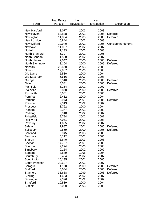|                     | <b>Real Estate</b> | Last        | <b>Next</b> |                      |
|---------------------|--------------------|-------------|-------------|----------------------|
| Town                | Parcels            | Revaluation | Revaluation | Explanation          |
|                     |                    |             |             |                      |
| <b>New Hartford</b> | 3,077              | 2003        | 2008        |                      |
| New Haven           | 53,838             | 2001        | 2005        | Deferred             |
| Newington           | 11,884             | 2000        | 2005        | <b>Deferred</b>      |
| New London          | 6,844              | 2003        | 2008        |                      |
| <b>New Milford</b>  | 12,940             | 2001        | 2005        | Considering deferral |
| Newtown             | 11,097             | 2002        | 2007        |                      |
| Norfolk             | 1,133              | 2003        | 2008        |                      |
| North Branford      | 5,397              | 2001        | 2005        |                      |
| North Canaan        | 1,588              | 2002        | 2007        |                      |
| North Haven         | 9,047              | 2000        | 2005        | Deferred             |
| North Stonington    | 3,104              | 2000        | 2005        | Deferred             |
| Norwalk             | 28,460             | 2003        | 2008        |                      |
| Norwich             | 19,867             | 2003        | 2008        |                      |
| Old Lyme            | 5,580              | 2000        | 2004        |                      |
| Old Saybrook        | 6,616              | 2003        | 2008        |                      |
| Orange              | 5,510              | 2000        | 2005        | Deferred             |
| Oxford              | 4,581              | 2000        | 2005        | Deferred             |
| Plainfield          | 6,254              | 2002        | 2007        |                      |
| Plainville          | 6,870              | 2000        | 2006        | Deferred             |
| Plymouth            | 5,001              | 2001        | 2005        |                      |
| Pomfret             | 2,412              | 2000        | 2004        |                      |
| Portland            | 3,943              | 2001        | 2006        | <b>Deferred</b>      |
| Preston             | 2,313              | 2002        | 2007        |                      |
|                     | 3,762              | 2000        | 2004        |                      |
| Prospect<br>Putnam  | 3,377              | 2003        | 2008        |                      |
|                     | 3,918              | 2002        | 2007        |                      |
| Redding             |                    |             |             |                      |
| Ridgefield          | 9,794              | 2002        | 2007        |                      |
| Rocky Hill          | 7,051              | 2003        | 2008        |                      |
| Roxbury             | 1,625              | 2002        | 2007        |                      |
| Salem               | 1,987              | 2001        | 2006        | Deferred             |
| Salisbury           | 2,569              | 2000        | 2005        | Deferred             |
| Scotland            | 845                | 2003        | 2008        |                      |
| Seymour             | 6,112              | 2001        | 2005        |                      |
| Sharon              | 3,640              | 2003        | 2008        |                      |
| Shelton             | 14,707             | 2001        | 2005        |                      |
| Sherman             | 2,294              | 2003        | 2008        |                      |
| Simsbury            | 9,154              | 2002        | 2007        |                      |
| Somers              | 3,889              | 1998        | 2004        |                      |
| Southbury           | 9,494              | 2002        | 2007        |                      |
| Southington         | 16,135             | 2001        | 2005        |                      |
| South Windsor       | 22,637             | 2002        | 2007        |                      |
| Sprague             | 1,170              | 2000        | 2005        | Deferred             |
| <b>Stafford</b>     | 5,084              | 2000        | 2005        | Deferred             |
| Stamford            | 35,688             | 1999        | 2006        | Deferred             |
| Sterling            | 1,603              | 2002        | 2007        |                      |
| Stonington          | 9,326              | 2002        | 2007        |                      |
| <b>Stratford</b>    | 19,539             | 2000        | 2004        |                      |
| Suffield            | 5,000              | 2003        | 2008        |                      |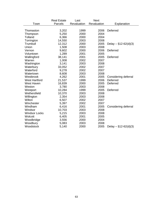|                      | <b>Real Estate</b> | Last        | <b>Next</b> |                        |
|----------------------|--------------------|-------------|-------------|------------------------|
| Town                 | Parcels            | Revaluation | Revaluation | Explanation            |
|                      |                    |             |             |                        |
| Thomaston            | 3,202              | 1999        | 2006        | Deferred               |
| Thompson             | 5,250              | 2000        | 2004        |                        |
| Tolland              | 6,366              | 2000        | 2004        |                        |
| Torrington           | 14,550             | 2003        | 2008        |                        |
| Trumbull             | 12,312             | 2000        | 2005        | Delay - $$12-62(d)(3)$ |
| Union                | 1,508              | 2003        | 2008        |                        |
| Vernon               | 9,602              | 2000        | 2006        | Deferred               |
| Voluntown            | 1,289              | 2001        | 2005        |                        |
| Wallingford          | 38,141             | 2001        | 2005        | Deferred               |
| Warren               | 1,008              | 2002        | 2007        |                        |
| Washington           | 3,141              | 2003        | 2008        |                        |
| Waterbury            | 33,052             | 2002        | 2007        |                        |
| Waterford            | 9,278              | 2002        | 2007        |                        |
| Watertown            | 8,608              | 2003        | 2008        |                        |
| Westbrook            | 4,262              | 2001        | 2005        | Considering deferral   |
| <b>West Hartford</b> | 21,537             | 1999        | 2006        | Deferred               |
| <b>West Haven</b>    | 16,839             | 2000        | 2005        | Deferred               |
| Weston               | 3,780              | 2003        | 2008        |                        |
| Westport             | 10,284             | 1999        | 2005        | Deferred               |
| Wethersfield         | 10,370             | 2003        | 2008        |                        |
| Willington           | 2,354              | 2003        | 2008        |                        |
| Wilton               | 6,507              | 2002        | 2007        |                        |
| Winchester           | 5,397              | 2002        | 2007        |                        |
| Windham              | 6,416              | 2001        | 2005        | Considering deferral   |
| Windsor              | 10,703             | 2003        | 2008        |                        |
| <b>Windsor Locks</b> | 5,215              | 2003        | 2008        |                        |
| Wolcott              | 6,405              | 2001        | 2005        |                        |
| Woodbridge           | 3,556              | 2000        | 2004        |                        |
| Woodbury             | 5,083              | 2003        | 2008        |                        |
| Woodstock            | 5,140              | 2000        | 2005        | Delay $-$ §12-62(d)(3) |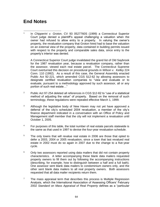#### **End Notes**

 $\overline{\phantom{a}}$ 1 In *Chipperini v. Groton*, CV 93 0527760S (1999) a Connecticut Superior Court judge denied a plaintiff's appeal challenging a valuation when the owner had refused to allow entry to a property. In valuing the owner's property, the revaluation company that Groton hired had to base the valuation on an external view of the property, data contained in building permits issued with respect to the property and comparable sales data, since entry to the property's interior was denied.

A Connecticut Superior Court judge invalidated the grand list of Old Saybrook for the 1987 revaluation year, because a revaluation company, rather than the assessor, viewed each real estate parcel. The Connecticut Supreme Court overturned this decision on procedural grounds in *Wilson v. Kelley* 224 Conn. 110 (1992). As a result of this case, the General Assembly enacted Public Act 92-221, which amended CGS §12-62 by allowing assessors to designate certified revaluation companies to "view and evaluate or to evaluate, pursuant to a methodology approved by such assessor, all or any portion of such real estate…"

- 2 Public Act 97-254 deleted all references in CGS §12-62 to "use of a statistical method of adjusting the value" of property. Based on the removal of such terminology, these regulations were repealed effective March 1, 1999.
- <sup>3</sup> Although the legislative body of New Haven may not yet have approved a deferral of the city's scheduled 2004 revaluation, a member of the city's finance department indicated in a conversation with an Office of Policy and Management staff member that the city will not implement a revaluation until October 1, 2005.
- $4$  For purposes of this table, the total number of real estate parcels statewide is the same as that used in 1997 to devise the four-year revaluation schedule.
- <sup>5</sup> The only towns that will revalue real estate in 2006 are those that opted to defer a 2003, 2004 or 2005 revaluation, since a town that last revalued real estate in 2002 must do so again in 2007 due to the change to a five-year cycle.
- $6$  Only two assessors reported using data mailers that did not contain property characteristics. A letter accompanying these blank data mailers requested property owners to fill them out by following the accompanying instructions (describing, for example, how to distinguish between a half and a full bath). One assessor sent blank data mailers to condominium owners only, and the other sent blank data mailers to all real property owners. Both assessors requested that all data mailer recipients return them.
- $7$  The mass appraisal term that describes this process is Multiple Regression Analysis, which the International Association of Assessing Officers' February 2002 *Standard on Mass Appraisal of Real Property* defines as a "particular